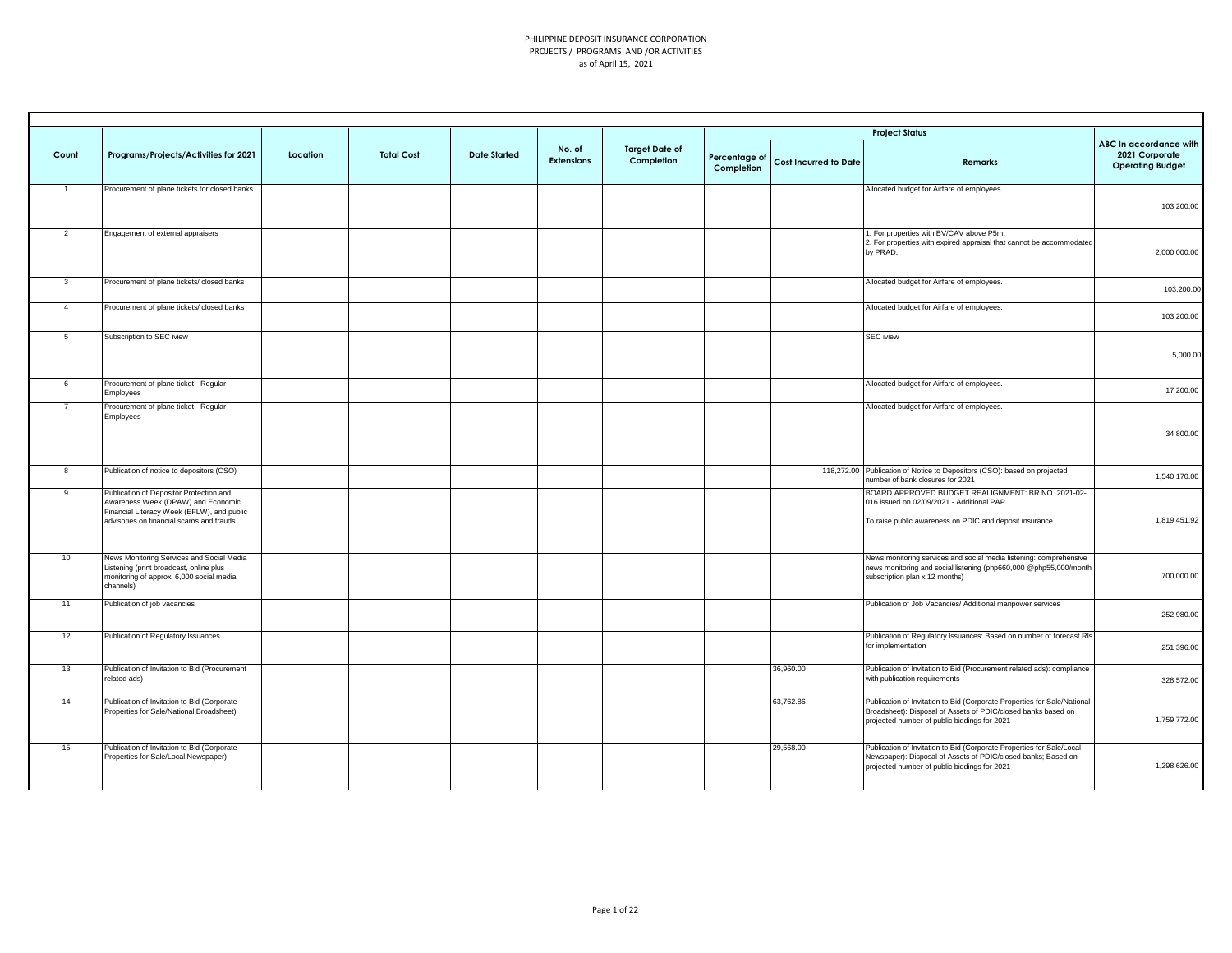|                         |                                                                                                                             |          |                   |                     | No. of            | <b>Target Date of</b> |                             |                              | <b>Project Status</b>                                                                                                                                                                     | ABC In accordance with                    |
|-------------------------|-----------------------------------------------------------------------------------------------------------------------------|----------|-------------------|---------------------|-------------------|-----------------------|-----------------------------|------------------------------|-------------------------------------------------------------------------------------------------------------------------------------------------------------------------------------------|-------------------------------------------|
| Count                   | Programs/Projects/Activities for 2021                                                                                       | Location | <b>Total Cost</b> | <b>Date Started</b> | <b>Extensions</b> | Completion            | Percentage of<br>Completion | <b>Cost Incurred to Date</b> | <b>Remarks</b>                                                                                                                                                                            | 2021 Corporate<br><b>Operating Budget</b> |
| $\mathbf{1}$            | Procurement of plane tickets for closed banks                                                                               |          |                   |                     |                   |                       |                             |                              | Allocated budget for Airfare of employees.                                                                                                                                                |                                           |
|                         |                                                                                                                             |          |                   |                     |                   |                       |                             |                              |                                                                                                                                                                                           | 103,200.00                                |
| $\overline{2}$          | Engagement of external appraisers                                                                                           |          |                   |                     |                   |                       |                             |                              | 1. For properties with BV/CAV above P5m.<br>2. For properties with expired appraisal that cannot be accommodated<br>by PRAD.                                                              | 2,000,000.00                              |
|                         |                                                                                                                             |          |                   |                     |                   |                       |                             |                              |                                                                                                                                                                                           |                                           |
| $\overline{\mathbf{3}}$ | Procurement of plane tickets/ closed banks                                                                                  |          |                   |                     |                   |                       |                             |                              | Allocated budget for Airfare of employees.                                                                                                                                                | 103,200.00                                |
| $\overline{4}$          | Procurement of plane tickets/ closed banks                                                                                  |          |                   |                     |                   |                       |                             |                              | Allocated budget for Airfare of employees.                                                                                                                                                | 103,200.00                                |
| $5^{\circ}$             | Subscription to SEC iview                                                                                                   |          |                   |                     |                   |                       |                             |                              | <b>SEC</b> iview                                                                                                                                                                          |                                           |
|                         |                                                                                                                             |          |                   |                     |                   |                       |                             |                              |                                                                                                                                                                                           | 5,000.00                                  |
| 6                       | Procurement of plane ticket - Regular<br>Employees                                                                          |          |                   |                     |                   |                       |                             |                              | Allocated budget for Airfare of employees.                                                                                                                                                | 17,200.00                                 |
| $\overline{7}$          | Procurement of plane ticket - Regular<br>Employees                                                                          |          |                   |                     |                   |                       |                             |                              | Allocated budget for Airfare of employees.                                                                                                                                                |                                           |
|                         |                                                                                                                             |          |                   |                     |                   |                       |                             |                              |                                                                                                                                                                                           | 34,800.00                                 |
| 8                       | Publication of notice to depositors (CSO)                                                                                   |          |                   |                     |                   |                       |                             |                              | 118,272.00 Publication of Notice to Depositors (CSO): based on projected<br>number of bank closures for 2021                                                                              | 1,540,170.00                              |
| $\overline{9}$          | Publication of Depositor Protection and<br>Awareness Week (DPAW) and Economic<br>Financial Literacy Week (EFLW), and public |          |                   |                     |                   |                       |                             |                              | BOARD APPROVED BUDGET REALIGNMENT: BR NO. 2021-02-<br>016 issued on 02/09/2021 - Additional PAP                                                                                           |                                           |
|                         | advisories on financial scams and frauds                                                                                    |          |                   |                     |                   |                       |                             |                              | To raise public awareness on PDIC and deposit insurance                                                                                                                                   | 1,819,451.92                              |
| 10                      | News Monitoring Services and Social Media                                                                                   |          |                   |                     |                   |                       |                             |                              | News monitoring services and social media listening: comprehensive                                                                                                                        |                                           |
|                         | Listening (print broadcast, online plus<br>monitoring of approx. 6,000 social media<br>channels)                            |          |                   |                     |                   |                       |                             |                              | news monitoring and social listening (php660,000 @php55,000/month<br>subscription plan x 12 months)                                                                                       | 700,000.00                                |
| 11                      | Publication of job vacancies                                                                                                |          |                   |                     |                   |                       |                             |                              | Publication of Job Vacancies/ Additional manpower services                                                                                                                                | 252,980.00                                |
| 12                      | Publication of Regulatory Issuances                                                                                         |          |                   |                     |                   |                       |                             |                              | Publication of Regulatory Issuances: Based on number of forecast RIs<br>for implementation                                                                                                | 251,396.00                                |
| 13                      | Publication of Invitation to Bid (Procurement<br>related ads)                                                               |          |                   |                     |                   |                       |                             | 36,960.00                    | Publication of Invitation to Bid (Procurement related ads): compliance<br>with publication requirements                                                                                   | 328,572.00                                |
| 14                      | Publication of Invitation to Bid (Corporate<br>Properties for Sale/National Broadsheet)                                     |          |                   |                     |                   |                       |                             | 63,762.86                    | Publication of Invitation to Bid (Corporate Properties for Sale/National<br>Broadsheet): Disposal of Assets of PDIC/closed banks based on<br>projected number of public biddings for 2021 | 1.759.772.00                              |
| 15                      | Publication of Invitation to Bid (Corporate<br>Properties for Sale/Local Newspaper)                                         |          |                   |                     |                   |                       |                             | 29,568.00                    | Publication of Invitation to Bid (Corporate Properties for Sale/Local<br>Newspaper): Disposal of Assets of PDIC/closed banks; Based on<br>projected number of public biddings for 2021    | 1,298,626.00                              |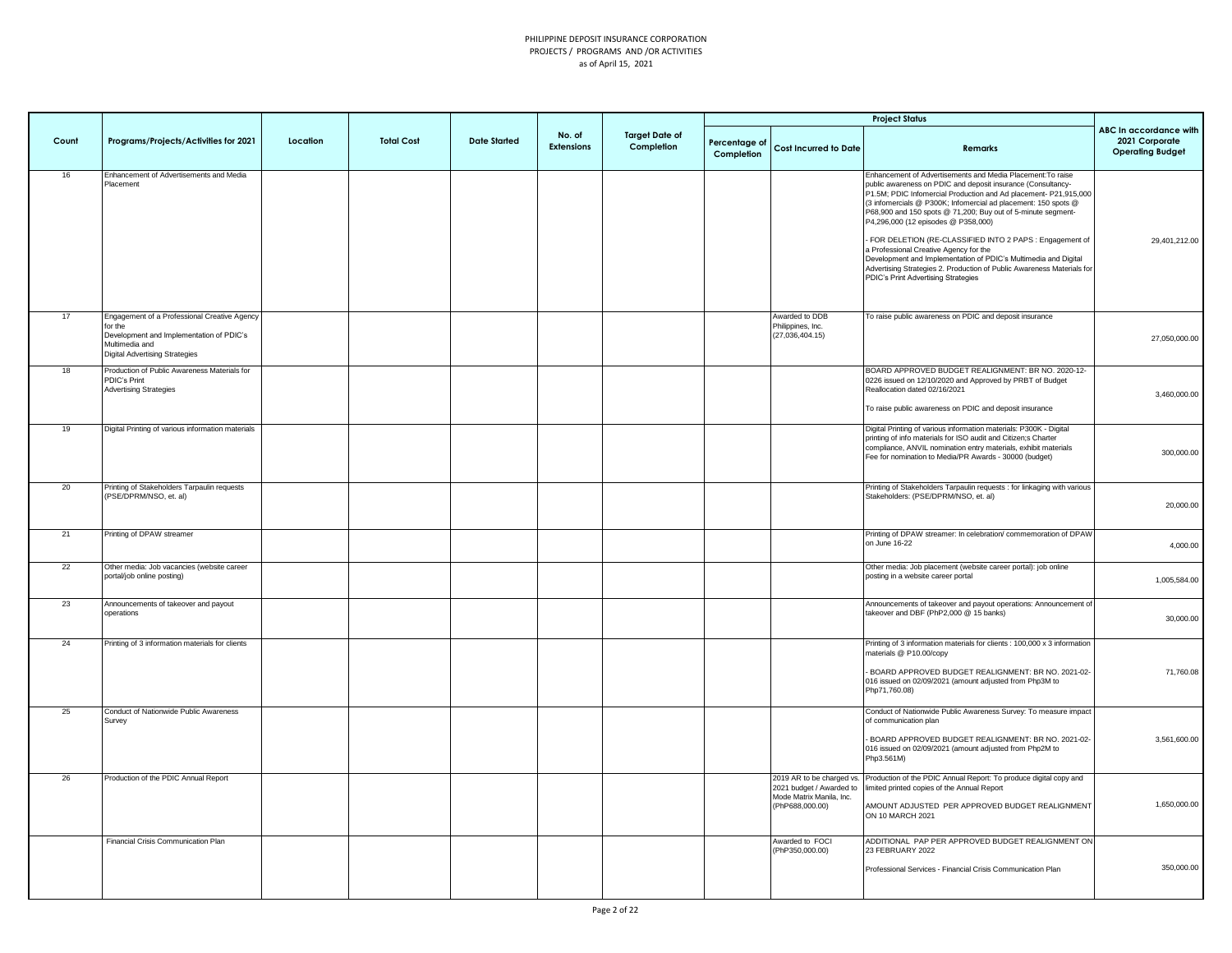|       |                                                                                                                                                                |          |                   |                     |                             |                                     |                             |                                                                                                      | <b>Project Status</b>                                                                                                                                                                                                                                                                                                                                                                                                                                                                                                                                                                                                                                             |                                                                     |
|-------|----------------------------------------------------------------------------------------------------------------------------------------------------------------|----------|-------------------|---------------------|-----------------------------|-------------------------------------|-----------------------------|------------------------------------------------------------------------------------------------------|-------------------------------------------------------------------------------------------------------------------------------------------------------------------------------------------------------------------------------------------------------------------------------------------------------------------------------------------------------------------------------------------------------------------------------------------------------------------------------------------------------------------------------------------------------------------------------------------------------------------------------------------------------------------|---------------------------------------------------------------------|
| Count | Programs/Projects/Activities for 2021                                                                                                                          | Location | <b>Total Cost</b> | <b>Date Started</b> | No. of<br><b>Extensions</b> | <b>Target Date of</b><br>Completion | Percentage of<br>Completion | <b>Cost Incurred to Date</b>                                                                         | <b>Remarks</b>                                                                                                                                                                                                                                                                                                                                                                                                                                                                                                                                                                                                                                                    | ABC In accordance with<br>2021 Corporate<br><b>Operating Budget</b> |
| 16    | Enhancement of Advertisements and Media<br>Placement                                                                                                           |          |                   |                     |                             |                                     |                             |                                                                                                      | Enhancement of Advertisements and Media Placement: To raise<br>public awareness on PDIC and deposit insurance (Consultancy-<br>P1.5M; PDIC Infomercial Production and Ad placement- P21,915,000<br>(3 infomercials @ P300K; Infomercial ad placement: 150 spots @<br>P68,900 and 150 spots @ 71,200; Buy out of 5-minute segment-<br>P4,296,000 (12 episodes @ P358,000)<br>FOR DELETION (RE-CLASSIFIED INTO 2 PAPS : Engagement of<br>a Professional Creative Agency for the<br>Development and Implementation of PDIC's Multimedia and Digital<br>Advertising Strategies 2. Production of Public Awareness Materials for<br>PDIC's Print Advertising Strategies | 29,401,212.00                                                       |
| 17    | Engagement of a Professional Creative Agency<br>for the<br>Development and Implementation of PDIC's<br>Multimedia and<br><b>Digital Advertising Strategies</b> |          |                   |                     |                             |                                     |                             | Awarded to DDB<br>Philippines, Inc.<br>(27, 036, 404.15)                                             | To raise public awareness on PDIC and deposit insurance                                                                                                                                                                                                                                                                                                                                                                                                                                                                                                                                                                                                           | 27,050,000.00                                                       |
| 18    | Production of Public Awareness Materials for<br>PDIC's Print<br><b>Advertising Strategies</b>                                                                  |          |                   |                     |                             |                                     |                             |                                                                                                      | BOARD APPROVED BUDGET REALIGNMENT: BR NO. 2020-12-<br>0226 issued on 12/10/2020 and Approved by PRBT of Budget<br>Reallocation dated 02/16/2021<br>To raise public awareness on PDIC and deposit insurance                                                                                                                                                                                                                                                                                                                                                                                                                                                        | 3,460,000.00                                                        |
| 19    | Digital Printing of various information materials                                                                                                              |          |                   |                     |                             |                                     |                             |                                                                                                      | Digital Printing of various information materials: P300K - Digital<br>printing of info materials for ISO audit and Citizen;s Charter<br>compliance, ANVIL nomination entry materials, exhibit materials<br>Fee for nomination to Media/PR Awards - 30000 (budget)                                                                                                                                                                                                                                                                                                                                                                                                 | 300,000.00                                                          |
| 20    | Printing of Stakeholders Tarpaulin requests<br>PSE/DPRM/NSO, et. al)                                                                                           |          |                   |                     |                             |                                     |                             |                                                                                                      | Printing of Stakeholders Tarpaulin requests : for linkaging with various<br>Stakeholders: (PSE/DPRM/NSO, et. al)                                                                                                                                                                                                                                                                                                                                                                                                                                                                                                                                                  | 20,000.00                                                           |
| 21    | Printing of DPAW streamer                                                                                                                                      |          |                   |                     |                             |                                     |                             |                                                                                                      | Printing of DPAW streamer: In celebration/ commemoration of DPAW<br>on June 16-22                                                                                                                                                                                                                                                                                                                                                                                                                                                                                                                                                                                 | 4,000.00                                                            |
| 22    | Other media: Job vacancies (website career<br>portal/job online posting)                                                                                       |          |                   |                     |                             |                                     |                             |                                                                                                      | Other media: Job placement (website career portal): job online<br>posting in a website career portal                                                                                                                                                                                                                                                                                                                                                                                                                                                                                                                                                              | 1,005,584.00                                                        |
| 23    | Announcements of takeover and payout<br>operations                                                                                                             |          |                   |                     |                             |                                     |                             |                                                                                                      | Announcements of takeover and payout operations: Announcement of<br>takeover and DBF (PhP2,000 @ 15 banks)                                                                                                                                                                                                                                                                                                                                                                                                                                                                                                                                                        | 30,000.00                                                           |
| 24    | Printing of 3 information materials for clients                                                                                                                |          |                   |                     |                             |                                     |                             |                                                                                                      | Printing of 3 information materials for clients : 100,000 x 3 information<br>naterials @ P10.00/copy<br>BOARD APPROVED BUDGET REALIGNMENT: BR NO. 2021-02-<br>016 issued on 02/09/2021 (amount adjusted from Php3M to<br>Php71,760.08)                                                                                                                                                                                                                                                                                                                                                                                                                            | 71,760.08                                                           |
| 25    | Conduct of Nationwide Public Awareness<br>Survey                                                                                                               |          |                   |                     |                             |                                     |                             |                                                                                                      | Conduct of Nationwide Public Awareness Survey: To measure impact<br>of communication plan<br>BOARD APPROVED BUDGET REALIGNMENT: BR NO. 2021-02-<br>016 issued on 02/09/2021 (amount adjusted from Php2M to<br>Php3.561M)                                                                                                                                                                                                                                                                                                                                                                                                                                          | 3,561,600.00                                                        |
| 26    | Production of the PDIC Annual Report                                                                                                                           |          |                   |                     |                             |                                     |                             | 2019 AR to be charged vs.<br>2021 budget / Awarded to<br>Mode Matrix Manila, Inc.<br>(PhP688,000.00) | Production of the PDIC Annual Report: To produce digital copy and<br>imited printed copies of the Annual Report<br>AMOUNT ADJUSTED PER APPROVED BUDGET REALIGNMENT<br>ON 10 MARCH 2021                                                                                                                                                                                                                                                                                                                                                                                                                                                                            | 1,650,000.00                                                        |
|       | Financial Crisis Communication Plan                                                                                                                            |          |                   |                     |                             |                                     |                             | Awarded to FOCI<br>(PhP350,000.00)                                                                   | ADDITIONAL PAP PER APPROVED BUDGET REALIGNMENT ON<br>23 FEBRUARY 2022<br>Professional Services - Financial Crisis Communication Plan                                                                                                                                                                                                                                                                                                                                                                                                                                                                                                                              | 350,000.00                                                          |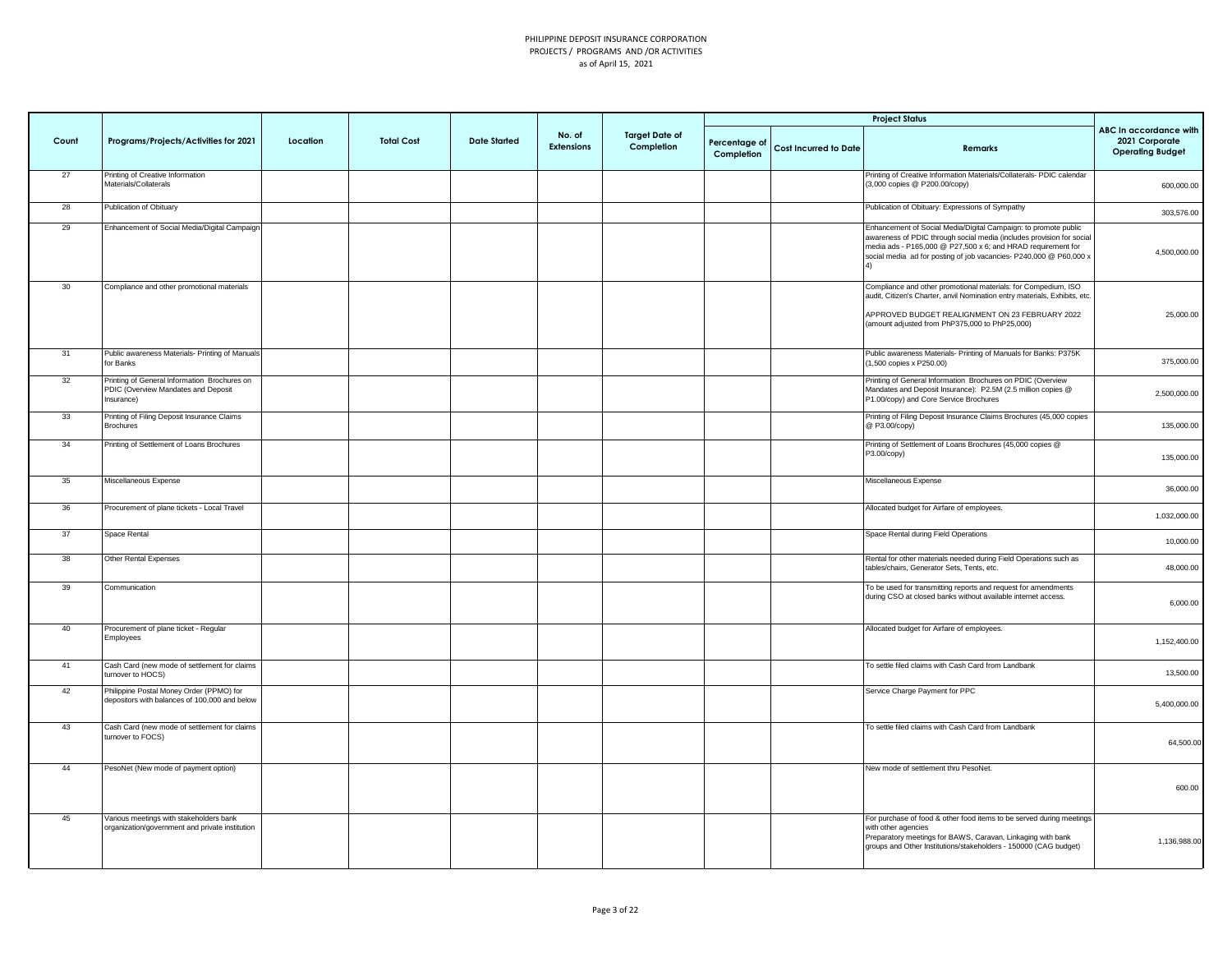|       |                                                                                                   |          |                   |                     |                             |                                     |                             |                              | <b>Project Status</b>                                                                                                                                                                                                                                                          |                                                                     |
|-------|---------------------------------------------------------------------------------------------------|----------|-------------------|---------------------|-----------------------------|-------------------------------------|-----------------------------|------------------------------|--------------------------------------------------------------------------------------------------------------------------------------------------------------------------------------------------------------------------------------------------------------------------------|---------------------------------------------------------------------|
| Count | Programs/Projects/Activities for 2021                                                             | Location | <b>Total Cost</b> | <b>Date Started</b> | No. of<br><b>Extensions</b> | <b>Target Date of</b><br>Completion | Percentage of<br>Completion | <b>Cost Incurred to Date</b> | Remarks                                                                                                                                                                                                                                                                        | ABC In accordance with<br>2021 Corporate<br><b>Operating Budget</b> |
| 27    | Printing of Creative Information<br>Materials/Collaterals                                         |          |                   |                     |                             |                                     |                             |                              | Printing of Creative Information Materials/Collaterals- PDIC calendar<br>(3,000 copies @ P200.00/copy)                                                                                                                                                                         | 600,000.00                                                          |
| 28    | Publication of Obituary                                                                           |          |                   |                     |                             |                                     |                             |                              | Publication of Obituary: Expressions of Sympathy                                                                                                                                                                                                                               | 303,576.00                                                          |
| 29    | Enhancement of Social Media/Digital Campaign                                                      |          |                   |                     |                             |                                     |                             |                              | Enhancement of Social Media/Digital Campaign: to promote public<br>awareness of PDIC through social media (includes provision for social<br>media ads - P165,000 @ P27,500 x 6; and HRAD requirement for<br>social media ad for posting of job vacancies- P240,000 @ P60,000 x | 4,500,000.00                                                        |
| 30    | Compliance and other promotional materials                                                        |          |                   |                     |                             |                                     |                             |                              | Compliance and other promotional materials: for Compedium, ISO<br>audit, Citizen's Charter, anvil Nomination entry materials, Exhibits, etc.<br>APPROVED BUDGET REALIGNMENT ON 23 FEBRUARY 2022<br>(amount adjusted from PhP375,000 to PhP25,000)                              | 25,000.00                                                           |
| 31    | Public awareness Materials- Printing of Manuals<br>for Banks                                      |          |                   |                     |                             |                                     |                             |                              | Public awareness Materials- Printing of Manuals for Banks: P375K<br>1,500 copies x P250.00)                                                                                                                                                                                    | 375,000.00                                                          |
| 32    | Printing of General Information Brochures on<br>PDIC (Overview Mandates and Deposit<br>Insurance) |          |                   |                     |                             |                                     |                             |                              | Printing of General Information Brochures on PDIC (Overview<br>Mandates and Deposit Insurance): P2.5M (2.5 million copies @<br>P1.00/copy) and Core Service Brochures                                                                                                          | 2,500,000.00                                                        |
| 33    | Printing of Filing Deposit Insurance Claims<br><b>Brochures</b>                                   |          |                   |                     |                             |                                     |                             |                              | Printing of Filing Deposit Insurance Claims Brochures (45,000 copies<br>@ P3.00/copy)                                                                                                                                                                                          | 135,000.00                                                          |
| 34    | Printing of Settlement of Loans Brochures                                                         |          |                   |                     |                             |                                     |                             |                              | Printing of Settlement of Loans Brochures (45,000 copies @<br>P3.00/copy)                                                                                                                                                                                                      | 135,000.00                                                          |
| 35    | Miscellaneous Expense                                                                             |          |                   |                     |                             |                                     |                             |                              | Miscellaneous Expense                                                                                                                                                                                                                                                          | 36,000.00                                                           |
| 36    | Procurement of plane tickets - Local Travel                                                       |          |                   |                     |                             |                                     |                             |                              | Allocated budget for Airfare of employees.                                                                                                                                                                                                                                     | 1,032,000.00                                                        |
| 37    | Space Rental                                                                                      |          |                   |                     |                             |                                     |                             |                              | Space Rental during Field Operations                                                                                                                                                                                                                                           | 10,000.00                                                           |
| 38    | Other Rental Expenses                                                                             |          |                   |                     |                             |                                     |                             |                              | Rental for other materials needed during Field Operations such as<br>tables/chairs, Generator Sets, Tents, etc.                                                                                                                                                                | 48,000.00                                                           |
| 39    | Communication                                                                                     |          |                   |                     |                             |                                     |                             |                              | To be used for transmitting reports and request for amendments<br>during CSO at closed banks without available internet access.                                                                                                                                                | 6,000.00                                                            |
| 40    | Procurement of plane ticket - Regular<br>Employees                                                |          |                   |                     |                             |                                     |                             |                              | Allocated budget for Airfare of employees.                                                                                                                                                                                                                                     | 1,152,400.00                                                        |
| 41    | Cash Card (new mode of settlement for claims<br>urnover to HOCS)                                  |          |                   |                     |                             |                                     |                             |                              | To settle filed claims with Cash Card from Landbank                                                                                                                                                                                                                            | 13,500.00                                                           |
| 42    | Philippine Postal Money Order (PPMO) for<br>depositors with balances of 100,000 and below         |          |                   |                     |                             |                                     |                             |                              | Service Charge Payment for PPC                                                                                                                                                                                                                                                 | 5,400,000.00                                                        |
| 43    | Cash Card (new mode of settlement for claims<br>urnover to FOCS)                                  |          |                   |                     |                             |                                     |                             |                              | To settle filed claims with Cash Card from Landbank                                                                                                                                                                                                                            | 64,500.00                                                           |
| 44    | PesoNet (New mode of payment option)                                                              |          |                   |                     |                             |                                     |                             |                              | New mode of settlement thru PesoNet.                                                                                                                                                                                                                                           | 600.00                                                              |
| 45    | Various meetings with stakeholders bank<br>organization/government and private institution        |          |                   |                     |                             |                                     |                             |                              | For purchase of food & other food items to be served during meetings<br>with other agencies<br>Preparatory meetings for BAWS, Caravan, Linkaging with bank<br>groups and Other Institutions/stakeholders - 150000 (CAG budget)                                                 | 1,136,988.00                                                        |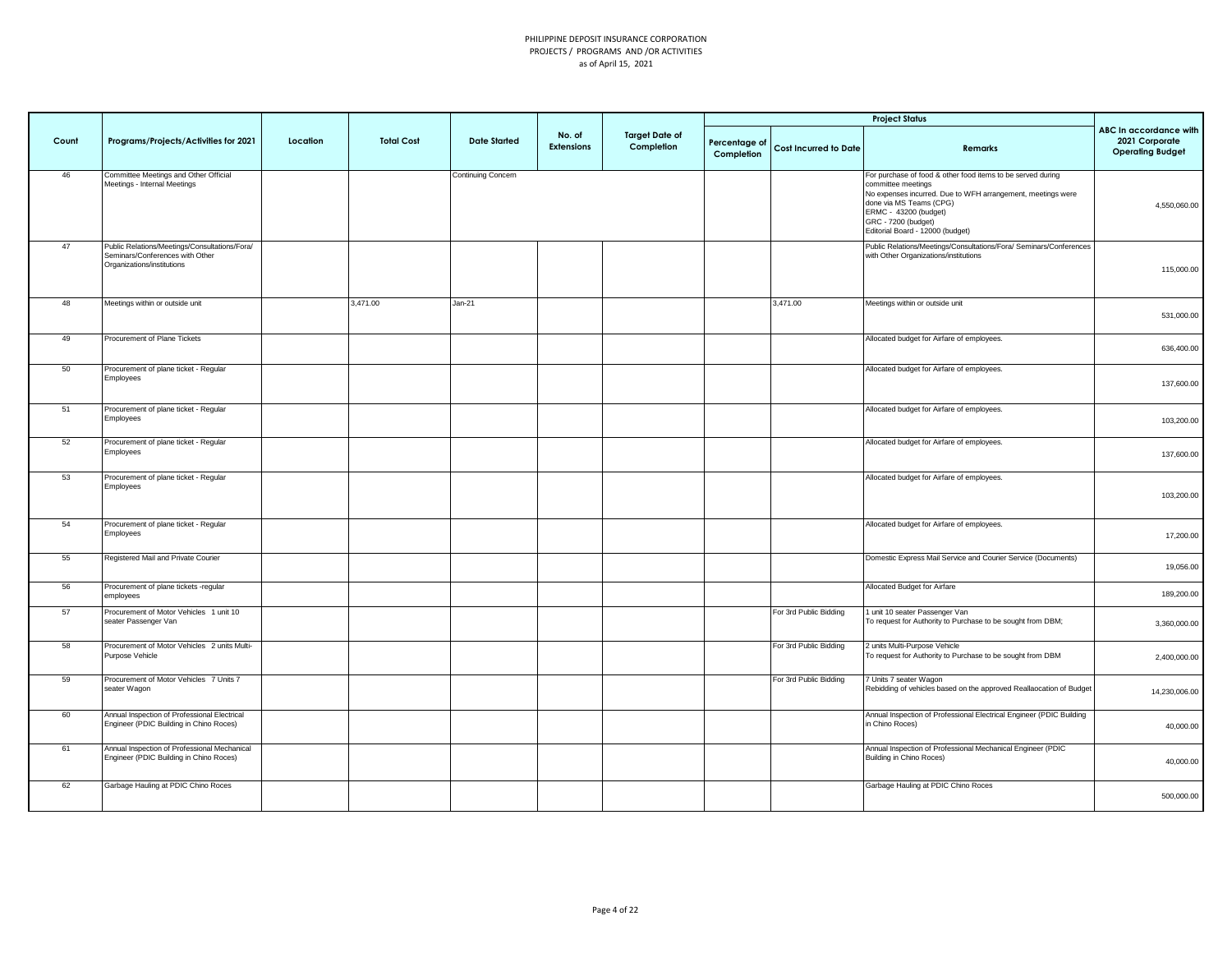| Count | Programs/Projects/Activities for 2021                                                                          | Location | <b>Total Cost</b> | <b>Date Started</b> | No. of<br><b>Extensions</b> | <b>Target Date of</b><br>Completion | Percentage of<br>Completion | <b>Cost Incurred to Date</b> | <b>Project Status</b><br>Remarks                                                                                                                                                                                                                                | ABC In accordance with<br>2021 Corporate<br><b>Operating Budget</b> |
|-------|----------------------------------------------------------------------------------------------------------------|----------|-------------------|---------------------|-----------------------------|-------------------------------------|-----------------------------|------------------------------|-----------------------------------------------------------------------------------------------------------------------------------------------------------------------------------------------------------------------------------------------------------------|---------------------------------------------------------------------|
| 46    | Committee Meetings and Other Official<br>Meetings - Internal Meetings                                          |          |                   | Continuing Concern  |                             |                                     |                             |                              | For purchase of food & other food items to be served during<br>committee meetings<br>No expenses incurred. Due to WFH arrangement, meetings were<br>done via MS Teams (CPG)<br>ERMC - 43200 (budget)<br>GRC - 7200 (budget)<br>Editorial Board - 12000 (budget) | 4,550,060.00                                                        |
| 47    | Public Relations/Meetings/Consultations/Fora/<br>Seminars/Conferences with Other<br>Organizations/institutions |          |                   |                     |                             |                                     |                             |                              | Public Relations/Meetings/Consultations/Fora/ Seminars/Conferences<br>with Other Organizations/institutions                                                                                                                                                     | 115,000.00                                                          |
| 48    | Meetings within or outside unit                                                                                |          | 3,471.00          | Jan-21              |                             |                                     |                             | 3,471.00                     | Meetings within or outside unit                                                                                                                                                                                                                                 | 531,000.00                                                          |
| 49    | Procurement of Plane Tickets                                                                                   |          |                   |                     |                             |                                     |                             |                              | Allocated budget for Airfare of employees.                                                                                                                                                                                                                      | 636,400.00                                                          |
| 50    | Procurement of plane ticket - Regular<br>Employees                                                             |          |                   |                     |                             |                                     |                             |                              | Allocated budget for Airfare of employees.                                                                                                                                                                                                                      | 137,600.00                                                          |
| 51    | Procurement of plane ticket - Regular<br>Employees                                                             |          |                   |                     |                             |                                     |                             |                              | Allocated budget for Airfare of employees.                                                                                                                                                                                                                      | 103,200.00                                                          |
| 52    | Procurement of plane ticket - Regular<br>Employees                                                             |          |                   |                     |                             |                                     |                             |                              | Allocated budget for Airfare of employees.                                                                                                                                                                                                                      | 137,600.00                                                          |
| 53    | Procurement of plane ticket - Regular<br>Employees                                                             |          |                   |                     |                             |                                     |                             |                              | Allocated budget for Airfare of employees.                                                                                                                                                                                                                      | 103,200.00                                                          |
| 54    | Procurement of plane ticket - Regular<br>Employees                                                             |          |                   |                     |                             |                                     |                             |                              | Allocated budget for Airfare of employees.                                                                                                                                                                                                                      | 17,200.00                                                           |
| 55    | Registered Mail and Private Courier                                                                            |          |                   |                     |                             |                                     |                             |                              | Domestic Express Mail Service and Courier Service (Documents)                                                                                                                                                                                                   | 19,056.00                                                           |
| 56    | Procurement of plane tickets -regular<br>employees                                                             |          |                   |                     |                             |                                     |                             |                              | Allocated Budget for Airfare                                                                                                                                                                                                                                    | 189,200.00                                                          |
| 57    | Procurement of Motor Vehicles 1 unit 10<br>seater Passenger Van                                                |          |                   |                     |                             |                                     |                             | For 3rd Public Bidding       | I unit 10 seater Passenger Van<br>To request for Authority to Purchase to be sought from DBM;                                                                                                                                                                   | 3,360,000.00                                                        |
| 58    | Procurement of Motor Vehicles 2 units Multi-<br>Purpose Vehicle                                                |          |                   |                     |                             |                                     |                             | For 3rd Public Bidding       | 2 units Multi-Purpose Vehicle<br>To request for Authority to Purchase to be sought from DBM                                                                                                                                                                     | 2,400,000.00                                                        |
| 59    | Procurement of Motor Vehicles 7 Units 7<br>seater Wagon                                                        |          |                   |                     |                             |                                     |                             | For 3rd Public Bidding       | 7 Units 7 seater Wagon<br>Rebidding of vehicles based on the approved Reallaocation of Budget                                                                                                                                                                   | 14,230,006.00                                                       |
| 60    | Annual Inspection of Professional Electrical<br>Engineer (PDIC Building in Chino Roces)                        |          |                   |                     |                             |                                     |                             |                              | Annual Inspection of Professional Electrical Engineer (PDIC Building<br>in Chino Roces)                                                                                                                                                                         | 40,000.00                                                           |
| 61    | Annual Inspection of Professional Mechanical<br>Engineer (PDIC Building in Chino Roces)                        |          |                   |                     |                             |                                     |                             |                              | Annual Inspection of Professional Mechanical Engineer (PDIC<br>Building in Chino Roces)                                                                                                                                                                         | 40,000.00                                                           |
| 62    | Garbage Hauling at PDIC Chino Roces                                                                            |          |                   |                     |                             |                                     |                             |                              | Garbage Hauling at PDIC Chino Roces                                                                                                                                                                                                                             | 500,000.00                                                          |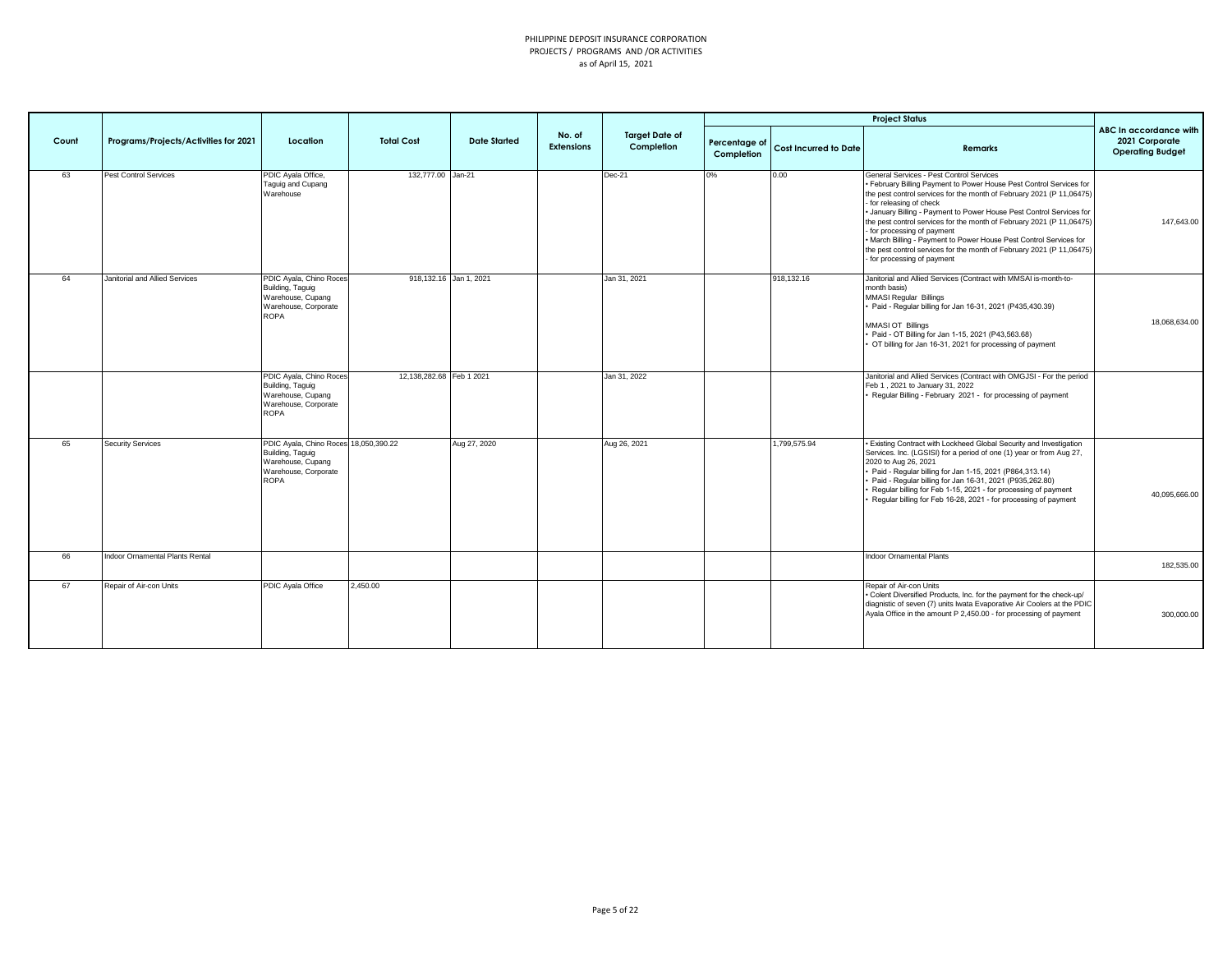|       |                                       |                                                                                                                       |                          |                     |                             |                                     |                             |                              | <b>Project Status</b>                                                                                                                                                                                                                                                                                                                                                                                                                                                                                                                                                          |                                                                     |
|-------|---------------------------------------|-----------------------------------------------------------------------------------------------------------------------|--------------------------|---------------------|-----------------------------|-------------------------------------|-----------------------------|------------------------------|--------------------------------------------------------------------------------------------------------------------------------------------------------------------------------------------------------------------------------------------------------------------------------------------------------------------------------------------------------------------------------------------------------------------------------------------------------------------------------------------------------------------------------------------------------------------------------|---------------------------------------------------------------------|
| Count | Programs/Projects/Activities for 2021 | Location                                                                                                              | <b>Total Cost</b>        | <b>Date Started</b> | No. of<br><b>Extensions</b> | <b>Target Date of</b><br>Completion | Percentage of<br>Completion | <b>Cost Incurred to Date</b> | <b>Remarks</b>                                                                                                                                                                                                                                                                                                                                                                                                                                                                                                                                                                 | ABC In accordance with<br>2021 Corporate<br><b>Operating Budget</b> |
| 63    | Pest Control Services                 | PDIC Ayala Office,<br>Taguig and Cupang<br>Warehouse                                                                  | 132,777.00 Jan-21        |                     |                             | Dec-21                              | 0%                          | 0.00                         | General Services - Pest Control Services<br>. February Billing Payment to Power House Pest Control Services for<br>the pest control services for the month of February 2021 (P 11,06475)<br>for releasing of check<br>. January Billing - Payment to Power House Pest Control Services for<br>the pest control services for the month of February 2021 (P 11,06475)<br>for processing of payment<br>. March Billing - Payment to Power House Pest Control Services for<br>the pest control services for the month of February 2021 (P 11,06475)<br>- for processing of payment | 147,643.00                                                          |
| 64    | Janitorial and Allied Services        | PDIC Ayala, Chino Roces<br>Building, Taguig<br>Warehouse, Cupang<br>Warehouse, Corporate<br>ROPA                      | 918,132.16 Jan 1, 2021   |                     |                             | Jan 31, 2021                        |                             | 918,132.16                   | Janitorial and Allied Services (Contract with MMSAI is-month-to-<br>month basis)<br><b>MMASI Regular Billings</b><br>Paid - Regular billing for Jan 16-31, 2021 (P435,430.39)<br>MMASI OT Billings<br>Paid - OT Billing for Jan 1-15, 2021 (P43,563.68)<br>OT billing for Jan 16-31, 2021 for processing of payment                                                                                                                                                                                                                                                            | 18,068,634.00                                                       |
|       |                                       | PDIC Ayala, Chino Roces<br>Building, Taguig<br>Warehouse, Cupang<br>Warehouse, Corporate<br><b>ROPA</b>               | 12,138,282.68 Feb 1 2021 |                     |                             | Jan 31, 2022                        |                             |                              | Janitorial and Allied Services (Contract with OMGJSI - For the period<br>Feb 1, 2021 to January 31, 2022<br>Regular Billing - February 2021 - for processing of payment                                                                                                                                                                                                                                                                                                                                                                                                        |                                                                     |
| 65    | <b>Security Services</b>              | PDIC Ayala, Chino Roces 18,050,390.22<br>Building, Taguig<br>Warehouse, Cupang<br>Warehouse, Corporate<br><b>ROPA</b> |                          | Aug 27, 2020        |                             | Aug 26, 2021                        |                             | 1,799,575.94                 | . Existing Contract with Lockheed Global Security and Investigation<br>Services. Inc. (LGSISI) for a period of one (1) year or from Aug 27,<br>2020 to Aug 26, 2021<br>Paid - Regular billing for Jan 1-15, 2021 (P864,313.14)<br>Paid - Regular billing for Jan 16-31, 2021 (P935,262.80)<br>Regular billing for Feb 1-15, 2021 - for processing of payment<br>Regular billing for Feb 16-28, 2021 - for processing of payment                                                                                                                                                | 40.095.666.00                                                       |
| 66    | Indoor Ornamental Plants Rental       |                                                                                                                       |                          |                     |                             |                                     |                             |                              | <b>Indoor Ornamental Plants</b>                                                                                                                                                                                                                                                                                                                                                                                                                                                                                                                                                | 182,535.00                                                          |
| 67    | Repair of Air-con Units               | PDIC Ayala Office                                                                                                     | 2,450.00                 |                     |                             |                                     |                             |                              | Repair of Air-con Units<br>. Colent Diversified Products, Inc. for the payment for the check-up/<br>diagnistic of seven (7) units Iwata Evaporative Air Coolers at the PDIC<br>Ayala Office in the amount P 2,450.00 - for processing of payment                                                                                                                                                                                                                                                                                                                               | 300,000.00                                                          |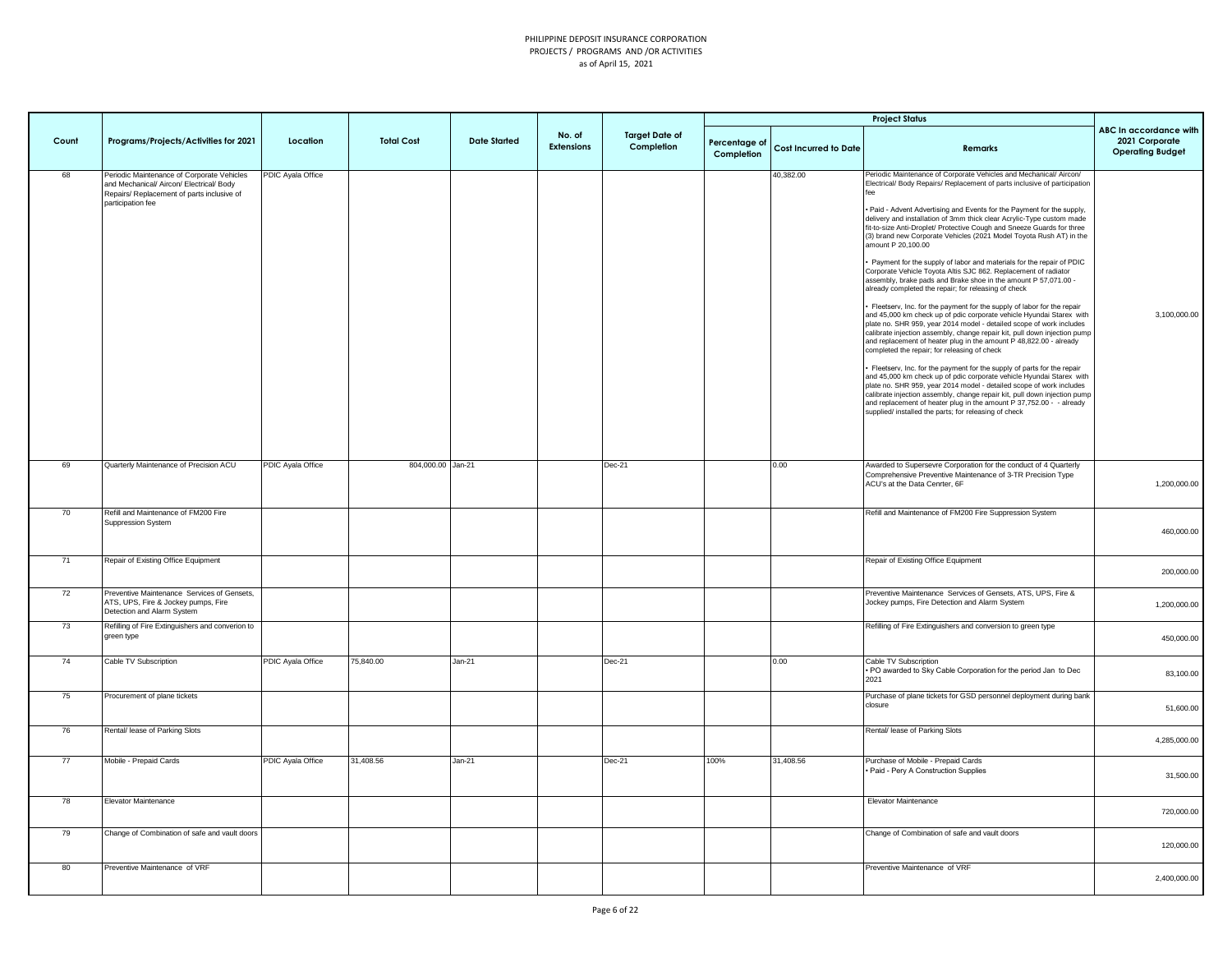|       |                                                                                                                                                           |                          |                   |                     |                             |                                     |                             |                              | <b>Project Status</b>                                                                                                                                                                                                                                                                                                                                                                                                                                                                                                                                                                                                                                                                                                                                                                                                                                                                                                                                                                                                                                                                                                                                                                                                                                                                                                                                                                                                                                                                                                                                                                                               |                                                                     |
|-------|-----------------------------------------------------------------------------------------------------------------------------------------------------------|--------------------------|-------------------|---------------------|-----------------------------|-------------------------------------|-----------------------------|------------------------------|---------------------------------------------------------------------------------------------------------------------------------------------------------------------------------------------------------------------------------------------------------------------------------------------------------------------------------------------------------------------------------------------------------------------------------------------------------------------------------------------------------------------------------------------------------------------------------------------------------------------------------------------------------------------------------------------------------------------------------------------------------------------------------------------------------------------------------------------------------------------------------------------------------------------------------------------------------------------------------------------------------------------------------------------------------------------------------------------------------------------------------------------------------------------------------------------------------------------------------------------------------------------------------------------------------------------------------------------------------------------------------------------------------------------------------------------------------------------------------------------------------------------------------------------------------------------------------------------------------------------|---------------------------------------------------------------------|
| Count | Programs/Projects/Activities for 2021                                                                                                                     | Location                 | <b>Total Cost</b> | <b>Date Started</b> | No. of<br><b>Extensions</b> | <b>Target Date of</b><br>Completion | Percentage of<br>Completion | <b>Cost Incurred to Date</b> | <b>Remarks</b>                                                                                                                                                                                                                                                                                                                                                                                                                                                                                                                                                                                                                                                                                                                                                                                                                                                                                                                                                                                                                                                                                                                                                                                                                                                                                                                                                                                                                                                                                                                                                                                                      | ABC In accordance with<br>2021 Corporate<br><b>Operating Budget</b> |
| 68    | Periodic Maintenance of Corporate Vehicles<br>and Mechanical/ Aircon/ Electrical/ Body<br>Repairs/ Replacement of parts inclusive of<br>participation fee | <b>PDIC Ayala Office</b> |                   |                     |                             |                                     |                             | 40,382.00                    | Periodic Maintenance of Corporate Vehicles and Mechanical/ Aircon/<br>Electrical/ Body Repairs/ Replacement of parts inclusive of participation<br>. Paid - Advent Advertising and Events for the Payment for the supply,<br>delivery and installation of 3mm thick clear Acrylic-Type custom made<br>fit-to-size Anti-Droplet/ Protective Cough and Sneeze Guards for three<br>(3) brand new Corporate Vehicles (2021 Model Toyota Rush AT) in the<br>mount P 20,100.00<br>Payment for the supply of labor and materials for the repair of PDIC<br>Corporate Vehicle Toyota Altis SJC 862. Replacement of radiator<br>assembly, brake pads and Brake shoe in the amount P 57,071.00 -<br>already completed the repair; for releasing of check<br>· Fleetserv, Inc. for the payment for the supply of labor for the repair<br>and 45,000 km check up of pdic corporate vehicle Hyundai Starex with<br>plate no. SHR 959, year 2014 model - detailed scope of work includes<br>calibrate injection assembly, change repair kit, pull down injection pump<br>and replacement of heater plug in the amount P 48,822.00 - already<br>completed the repair; for releasing of check<br>Fleetserv, Inc. for the payment for the supply of parts for the repair<br>and 45,000 km check up of pdic corporate vehicle Hyundai Starex with<br>plate no. SHR 959, year 2014 model - detailed scope of work includes<br>calibrate injection assembly, change repair kit, pull down injection pump<br>and replacement of heater plug in the amount P 37,752.00 - already<br>supplied/ installed the parts; for releasing of check | 3,100,000.00                                                        |
| 69    | Quarterly Maintenance of Precision ACU                                                                                                                    | PDIC Ayala Office        | 804,000.00 Jan-21 |                     |                             | $Dec-21$                            |                             | 0.00                         | Awarded to Supersevre Corporation for the conduct of 4 Quarterly<br>Comprehensive Preventive Maintenance of 3-TR Precision Type<br>ACU's at the Data Cenrter, 6F                                                                                                                                                                                                                                                                                                                                                                                                                                                                                                                                                                                                                                                                                                                                                                                                                                                                                                                                                                                                                                                                                                                                                                                                                                                                                                                                                                                                                                                    | 1,200,000.00                                                        |
| 70    | Refill and Maintenance of FM200 Fire<br>Suppression System                                                                                                |                          |                   |                     |                             |                                     |                             |                              | Refill and Maintenance of FM200 Fire Suppression System                                                                                                                                                                                                                                                                                                                                                                                                                                                                                                                                                                                                                                                                                                                                                                                                                                                                                                                                                                                                                                                                                                                                                                                                                                                                                                                                                                                                                                                                                                                                                             | 460,000.00                                                          |
| 71    | Repair of Existing Office Equipment                                                                                                                       |                          |                   |                     |                             |                                     |                             |                              | Repair of Existing Office Equipment                                                                                                                                                                                                                                                                                                                                                                                                                                                                                                                                                                                                                                                                                                                                                                                                                                                                                                                                                                                                                                                                                                                                                                                                                                                                                                                                                                                                                                                                                                                                                                                 | 200,000.00                                                          |
| 72    | Preventive Maintenance Services of Gensets,<br>ATS, UPS, Fire & Jockey pumps, Fire<br>Detection and Alarm System                                          |                          |                   |                     |                             |                                     |                             |                              | Preventive Maintenance Services of Gensets, ATS, UPS, Fire &<br>Jockey pumps, Fire Detection and Alarm System                                                                                                                                                                                                                                                                                                                                                                                                                                                                                                                                                                                                                                                                                                                                                                                                                                                                                                                                                                                                                                                                                                                                                                                                                                                                                                                                                                                                                                                                                                       | 1,200,000.00                                                        |
| 73    | Refilling of Fire Extinguishers and converion to<br>green type                                                                                            |                          |                   |                     |                             |                                     |                             |                              | Refilling of Fire Extinguishers and conversion to green type                                                                                                                                                                                                                                                                                                                                                                                                                                                                                                                                                                                                                                                                                                                                                                                                                                                                                                                                                                                                                                                                                                                                                                                                                                                                                                                                                                                                                                                                                                                                                        | 450,000.00                                                          |
| 74    | Cable TV Subscription                                                                                                                                     | PDIC Ayala Office        | 75,840.00         | Jan-21              |                             | $Dec-21$                            |                             | 0.00                         | Cable TV Subscription<br>. PO awarded to Sky Cable Corporation for the period Jan to Dec<br>2021                                                                                                                                                                                                                                                                                                                                                                                                                                                                                                                                                                                                                                                                                                                                                                                                                                                                                                                                                                                                                                                                                                                                                                                                                                                                                                                                                                                                                                                                                                                    | 83,100.00                                                           |
| 75    | Procurement of plane tickets                                                                                                                              |                          |                   |                     |                             |                                     |                             |                              | Purchase of plane tickets for GSD personnel deployment during bank<br>closure                                                                                                                                                                                                                                                                                                                                                                                                                                                                                                                                                                                                                                                                                                                                                                                                                                                                                                                                                                                                                                                                                                                                                                                                                                                                                                                                                                                                                                                                                                                                       | 51,600.00                                                           |
| 76    | Rental/ lease of Parking Slots                                                                                                                            |                          |                   |                     |                             |                                     |                             |                              | Rental/ lease of Parking Slots                                                                                                                                                                                                                                                                                                                                                                                                                                                                                                                                                                                                                                                                                                                                                                                                                                                                                                                                                                                                                                                                                                                                                                                                                                                                                                                                                                                                                                                                                                                                                                                      | 4,285,000.00                                                        |
| 77    | Mobile - Prepaid Cards                                                                                                                                    | PDIC Ayala Office        | 31,408.56         | $Jan-21$            |                             | $Dec-21$                            | 100%                        | 31,408.56                    | Purchase of Mobile - Prepaid Cards<br>· Paid - Pery A Construction Supplies                                                                                                                                                                                                                                                                                                                                                                                                                                                                                                                                                                                                                                                                                                                                                                                                                                                                                                                                                                                                                                                                                                                                                                                                                                                                                                                                                                                                                                                                                                                                         | 31,500.00                                                           |
| 78    | Elevator Maintenance                                                                                                                                      |                          |                   |                     |                             |                                     |                             |                              | Elevator Maintenance                                                                                                                                                                                                                                                                                                                                                                                                                                                                                                                                                                                                                                                                                                                                                                                                                                                                                                                                                                                                                                                                                                                                                                                                                                                                                                                                                                                                                                                                                                                                                                                                | 720,000.00                                                          |
| 79    | Change of Combination of safe and vault doors                                                                                                             |                          |                   |                     |                             |                                     |                             |                              | Change of Combination of safe and vault doors                                                                                                                                                                                                                                                                                                                                                                                                                                                                                                                                                                                                                                                                                                                                                                                                                                                                                                                                                                                                                                                                                                                                                                                                                                                                                                                                                                                                                                                                                                                                                                       | 120,000.00                                                          |
| 80    | Preventive Maintenance of VRF                                                                                                                             |                          |                   |                     |                             |                                     |                             |                              | Preventive Maintenance of VRF                                                                                                                                                                                                                                                                                                                                                                                                                                                                                                                                                                                                                                                                                                                                                                                                                                                                                                                                                                                                                                                                                                                                                                                                                                                                                                                                                                                                                                                                                                                                                                                       | 2,400,000.00                                                        |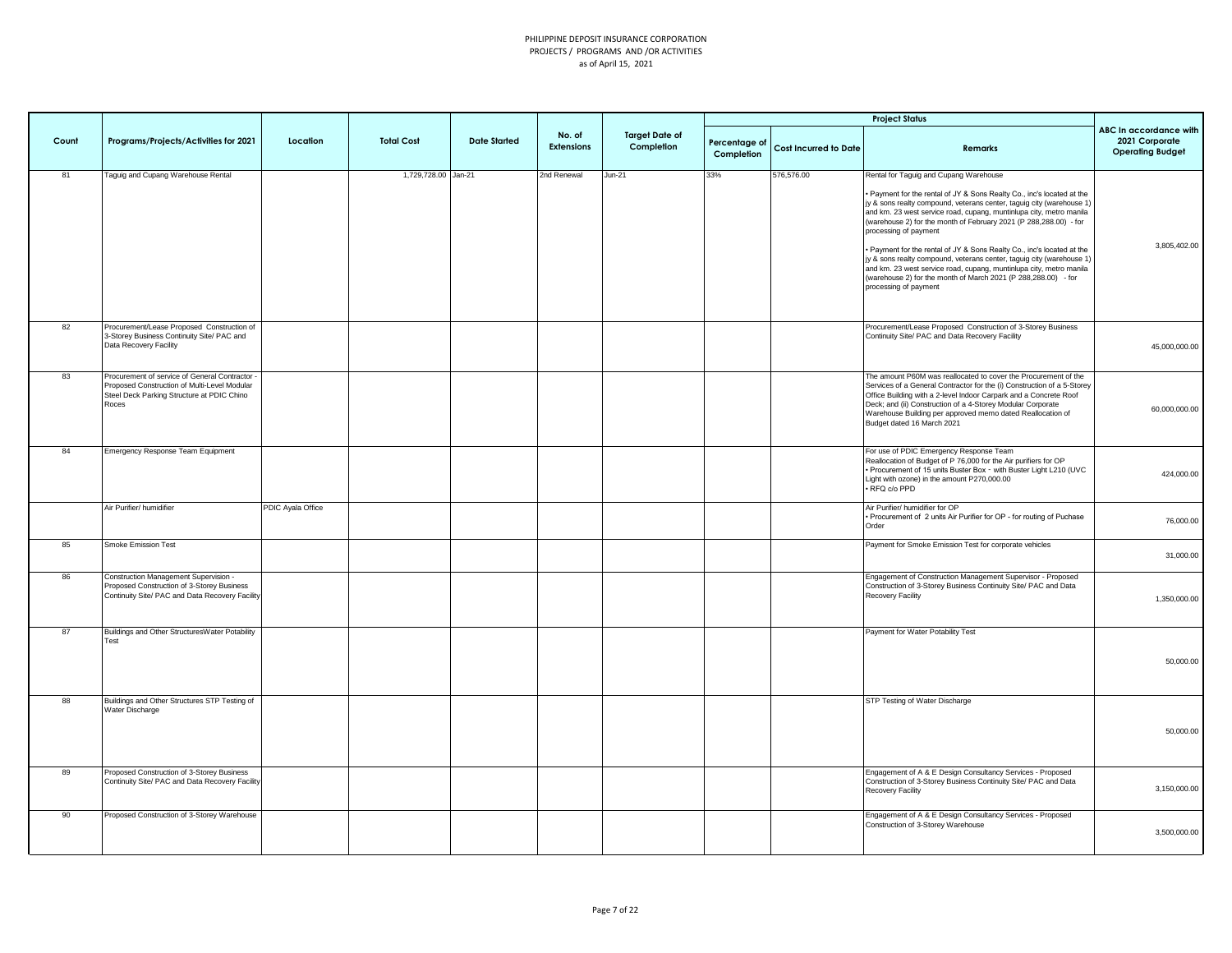|       |                                                                                                                                                       |                   |                     |                     |                      |                                     |                             |                              | <b>Project Status</b>                                                                                                                                                                                                                                                                                                                                                                                                                                                                                                                                                                                                                                                             |                                                                     |
|-------|-------------------------------------------------------------------------------------------------------------------------------------------------------|-------------------|---------------------|---------------------|----------------------|-------------------------------------|-----------------------------|------------------------------|-----------------------------------------------------------------------------------------------------------------------------------------------------------------------------------------------------------------------------------------------------------------------------------------------------------------------------------------------------------------------------------------------------------------------------------------------------------------------------------------------------------------------------------------------------------------------------------------------------------------------------------------------------------------------------------|---------------------------------------------------------------------|
| Count | Programs/Projects/Activities for 2021                                                                                                                 | Location          | <b>Total Cost</b>   | <b>Date Started</b> | No. of<br>Extensions | <b>Target Date of</b><br>Completion | Percentage of<br>Completion | <b>Cost Incurred to Date</b> | Remarks                                                                                                                                                                                                                                                                                                                                                                                                                                                                                                                                                                                                                                                                           | ABC In accordance with<br>2021 Corporate<br><b>Operating Budget</b> |
| 81    | Taguig and Cupang Warehouse Rental                                                                                                                    |                   | 1,729,728.00 Jan-21 |                     | 2nd Renewal          | $Jun-21$                            | 33%                         | 576,576.00                   | Rental for Taguig and Cupang Warehouse<br>Payment for the rental of JY & Sons Realty Co., inc's located at the<br>jy & sons realty compound, veterans center, taguig city (warehouse 1)<br>and km. 23 west service road, cupang, muntinlupa city, metro manila<br>(warehouse 2) for the month of February 2021 (P 288,288.00) - for<br>processing of payment<br>. Payment for the rental of JY & Sons Realty Co., inc's located at the<br>jy & sons realty compound, veterans center, taguig city (warehouse 1)<br>and km. 23 west service road, cupang, muntinlupa city, metro manila<br>(warehouse 2) for the month of March 2021 (P 288,288.00) - for<br>processing of payment | 3,805,402.00                                                        |
| 82    | Procurement/Lease Proposed Construction of<br>3-Storey Business Continuity Site/ PAC and<br>Data Recovery Facility                                    |                   |                     |                     |                      |                                     |                             |                              | Procurement/Lease Proposed Construction of 3-Storey Business<br>Continuity Site/ PAC and Data Recovery Facility                                                                                                                                                                                                                                                                                                                                                                                                                                                                                                                                                                   | 45,000,000.00                                                       |
| 83    | Procurement of service of General Contractor -<br>Proposed Construction of Multi-Level Modular<br>Steel Deck Parking Structure at PDIC Chino<br>Roces |                   |                     |                     |                      |                                     |                             |                              | The amount P60M was reallocated to cover the Procurement of the<br>Services of a General Contractor for the (i) Construction of a 5-Storey<br>Office Building with a 2-level Indoor Carpark and a Concrete Roof<br>Deck; and (ii) Construction of a 4-Storey Modular Corporate<br>Warehouse Building per approved memo dated Reallocation of<br>Budget dated 16 March 2021                                                                                                                                                                                                                                                                                                        | 60,000,000.00                                                       |
| 84    | Emergency Response Team Equipment                                                                                                                     |                   |                     |                     |                      |                                     |                             |                              | For use of PDIC Emergency Response Team<br>Reallocation of Budget of P 76,000 for the Air purifiers for OP<br>. Procurement of 15 units Buster Box - with Buster Light L210 (UVC<br>Light with ozone) in the amount P270,000.00<br>· RFQ c/o PPD                                                                                                                                                                                                                                                                                                                                                                                                                                  | 424,000.00                                                          |
|       | Air Purifier/ humidifier                                                                                                                              | PDIC Ayala Office |                     |                     |                      |                                     |                             |                              | Air Purifier/ humidifier for OP<br>Procurement of 2 units Air Purifier for OP - for routing of Puchase<br>Order                                                                                                                                                                                                                                                                                                                                                                                                                                                                                                                                                                   | 76,000.00                                                           |
| 85    | Smoke Emission Test                                                                                                                                   |                   |                     |                     |                      |                                     |                             |                              | Payment for Smoke Emission Test for corporate vehicles                                                                                                                                                                                                                                                                                                                                                                                                                                                                                                                                                                                                                            | 31,000.00                                                           |
| 86    | Construction Management Supervision -<br>Proposed Construction of 3-Storey Business<br>Continuity Site/ PAC and Data Recovery Facility                |                   |                     |                     |                      |                                     |                             |                              | Engagement of Construction Management Supervisor - Proposed<br>Construction of 3-Storey Business Continuity Site/ PAC and Data<br>Recovery Facility                                                                                                                                                                                                                                                                                                                                                                                                                                                                                                                               | 1,350,000.00                                                        |
| 87    | Buildings and Other StructuresWater Potability<br>Test                                                                                                |                   |                     |                     |                      |                                     |                             |                              | Payment for Water Potability Test                                                                                                                                                                                                                                                                                                                                                                                                                                                                                                                                                                                                                                                 | 50,000.00                                                           |
| 88    | Buildings and Other Structures STP Testing of<br>Water Discharge                                                                                      |                   |                     |                     |                      |                                     |                             |                              | STP Testing of Water Discharge                                                                                                                                                                                                                                                                                                                                                                                                                                                                                                                                                                                                                                                    | 50,000.00                                                           |
| 89    | Proposed Construction of 3-Storey Business<br>Continuity Site/ PAC and Data Recovery Facility                                                         |                   |                     |                     |                      |                                     |                             |                              | Engagement of A & E Design Consultancy Services - Proposed<br>Construction of 3-Storey Business Continuity Site/ PAC and Data<br>Recovery Facility                                                                                                                                                                                                                                                                                                                                                                                                                                                                                                                                | 3,150,000.00                                                        |
| 90    | Proposed Construction of 3-Storey Warehouse                                                                                                           |                   |                     |                     |                      |                                     |                             |                              | Engagement of A & E Design Consultancy Services - Proposed<br>Construction of 3-Storey Warehouse                                                                                                                                                                                                                                                                                                                                                                                                                                                                                                                                                                                  | 3,500,000.00                                                        |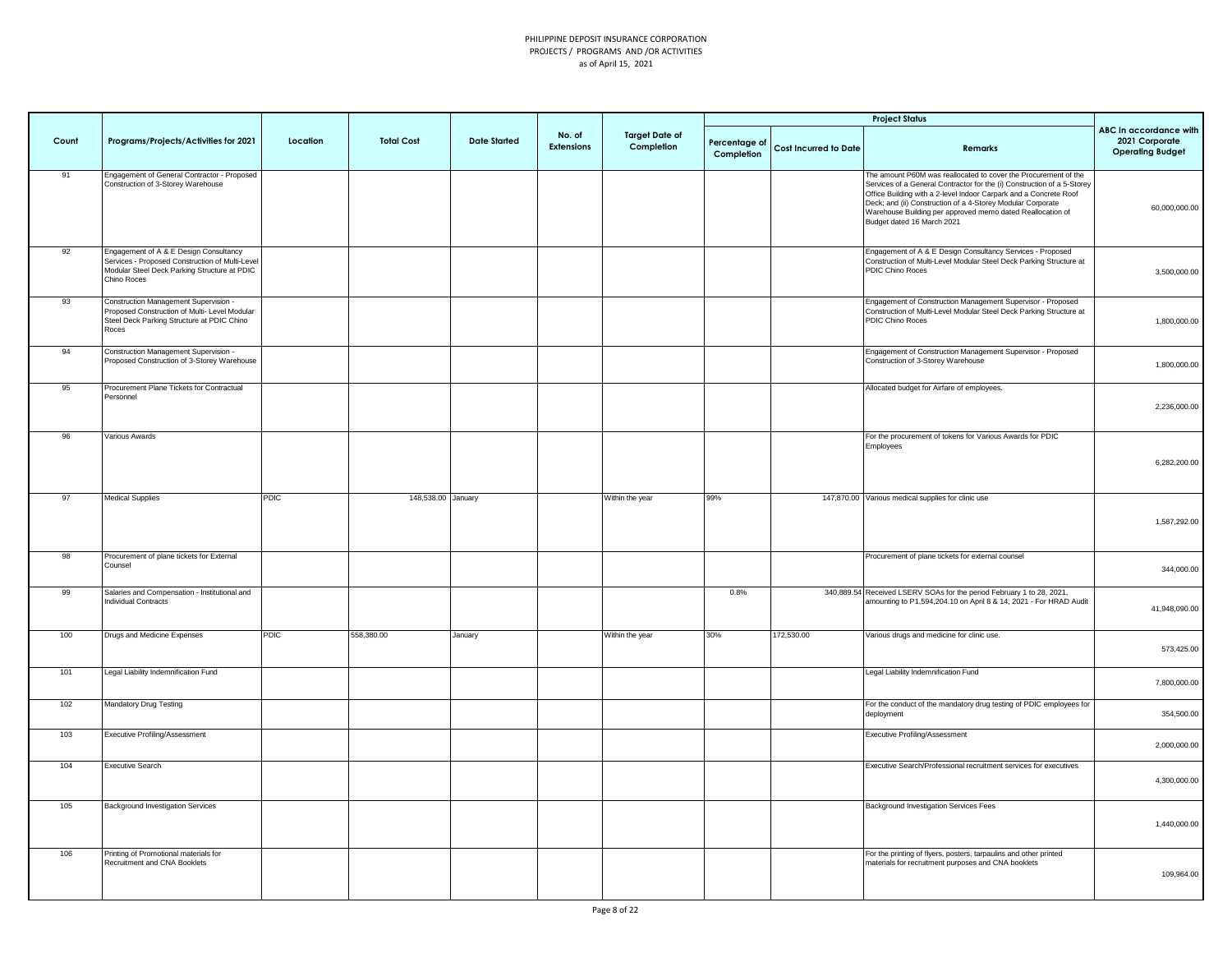|       |                                                                                                                                                          |             |                    |                     |                             |                                     |                             |                              | <b>Project Status</b>                                                                                                                                                                                                                                                                                                                                                      |                                                                     |
|-------|----------------------------------------------------------------------------------------------------------------------------------------------------------|-------------|--------------------|---------------------|-----------------------------|-------------------------------------|-----------------------------|------------------------------|----------------------------------------------------------------------------------------------------------------------------------------------------------------------------------------------------------------------------------------------------------------------------------------------------------------------------------------------------------------------------|---------------------------------------------------------------------|
| Count | Programs/Projects/Activities for 2021                                                                                                                    | Location    | <b>Total Cost</b>  | <b>Date Started</b> | No. of<br><b>Extensions</b> | <b>Target Date of</b><br>Completion | Percentage of<br>Completion | <b>Cost Incurred to Date</b> | Remarks                                                                                                                                                                                                                                                                                                                                                                    | ABC In accordance with<br>2021 Corporate<br><b>Operating Budget</b> |
| 91    | Engagement of General Contractor - Proposed<br>Construction of 3-Storey Warehouse                                                                        |             |                    |                     |                             |                                     |                             |                              | The amount P60M was reallocated to cover the Procurement of the<br>Services of a General Contractor for the (i) Construction of a 5-Storey<br>Office Building with a 2-level Indoor Carpark and a Concrete Roof<br>Deck; and (ii) Construction of a 4-Storey Modular Corporate<br>Warehouse Building per approved memo dated Reallocation of<br>Budget dated 16 March 2021 | 60,000,000.00                                                       |
| 92    | Engagement of A & E Design Consultancy<br>Services - Proposed Construction of Multi-Level<br>Modular Steel Deck Parking Structure at PDIC<br>Chino Roces |             |                    |                     |                             |                                     |                             |                              | Engagement of A & E Design Consultancy Services - Proposed<br>Construction of Multi-Level Modular Steel Deck Parking Structure at<br>PDIC Chino Roces                                                                                                                                                                                                                      | 3,500,000.00                                                        |
| 93    | Construction Management Supervision -<br>Proposed Construction of Multi- Level Modular<br>Steel Deck Parking Structure at PDIC Chino<br>Roces            |             |                    |                     |                             |                                     |                             |                              | Engagement of Construction Management Supervisor - Proposed<br>Construction of Multi-Level Modular Steel Deck Parking Structure at<br>PDIC Chino Roces                                                                                                                                                                                                                     | 1,800,000.00                                                        |
| 94    | Construction Management Supervision -<br>Proposed Construction of 3-Storey Warehouse                                                                     |             |                    |                     |                             |                                     |                             |                              | Engagement of Construction Management Supervisor - Proposed<br>Construction of 3-Storey Warehouse                                                                                                                                                                                                                                                                          | 1,800,000.00                                                        |
| 95    | Procurement Plane Tickets for Contractual<br>Personnel                                                                                                   |             |                    |                     |                             |                                     |                             |                              | Allocated budget for Airfare of employees.                                                                                                                                                                                                                                                                                                                                 | 2,236,000.00                                                        |
| 96    | Various Awards                                                                                                                                           |             |                    |                     |                             |                                     |                             |                              | For the procurement of tokens for Various Awards for PDIC<br>Employees                                                                                                                                                                                                                                                                                                     | 6,282,200.00                                                        |
| 97    | <b>Medical Supplies</b>                                                                                                                                  | <b>PDIC</b> | 148,538.00 January |                     |                             | Within the year                     | 99%                         |                              | 147,870.00 Various medical supplies for clinic use                                                                                                                                                                                                                                                                                                                         | 1,587,292.00                                                        |
| 98    | Procurement of plane tickets for External<br>Counsel                                                                                                     |             |                    |                     |                             |                                     |                             |                              | Procurement of plane tickets for external counsel                                                                                                                                                                                                                                                                                                                          | 344,000.00                                                          |
| 99    | Salaries and Compensation - Institutional and<br>Individual Contracts                                                                                    |             |                    |                     |                             |                                     | 0.8%                        |                              | 340,889.54 Received LSERV SOAs for the period February 1 to 28, 2021,<br>amounting to P1,594,204.10 on April 8 & 14, 2021 - For HRAD Audit                                                                                                                                                                                                                                 | 41,948,090.00                                                       |
| 100   | Drugs and Medicine Expenses                                                                                                                              | <b>PDIC</b> | 558,380.00         | January             |                             | Within the year                     | 30%                         | 172,530.00                   | Various drugs and medicine for clinic use.                                                                                                                                                                                                                                                                                                                                 | 573,425.00                                                          |
| 101   | Legal Liability Indemnification Fund                                                                                                                     |             |                    |                     |                             |                                     |                             |                              | Legal Liability Indemnification Fund                                                                                                                                                                                                                                                                                                                                       | 7,800,000.00                                                        |
| 102   | Mandatory Drug Testing                                                                                                                                   |             |                    |                     |                             |                                     |                             |                              | For the conduct of the mandatory drug testing of PDIC employees for<br>deployment                                                                                                                                                                                                                                                                                          | 354,500.00                                                          |
| 103   | Executive Profiling/Assessment                                                                                                                           |             |                    |                     |                             |                                     |                             |                              | <b>Executive Profiling/Assessment</b>                                                                                                                                                                                                                                                                                                                                      | 2,000,000.00                                                        |
| 104   | <b>Executive Search</b>                                                                                                                                  |             |                    |                     |                             |                                     |                             |                              | Executive Search/Professional recruitment services for executives                                                                                                                                                                                                                                                                                                          | 4,300,000.00                                                        |
| 105   | <b>Background Investigation Services</b>                                                                                                                 |             |                    |                     |                             |                                     |                             |                              | Background Investigation Services Fees                                                                                                                                                                                                                                                                                                                                     | 1,440,000.00                                                        |
| 106   | Printing of Promotional materials for<br>Recruitment and CNA Booklets                                                                                    |             |                    |                     |                             |                                     |                             |                              | For the printing of flyers, posters, tarpaulins and other printed<br>materials for recruitment purposes and CNA booklets                                                                                                                                                                                                                                                   | 109,964.00                                                          |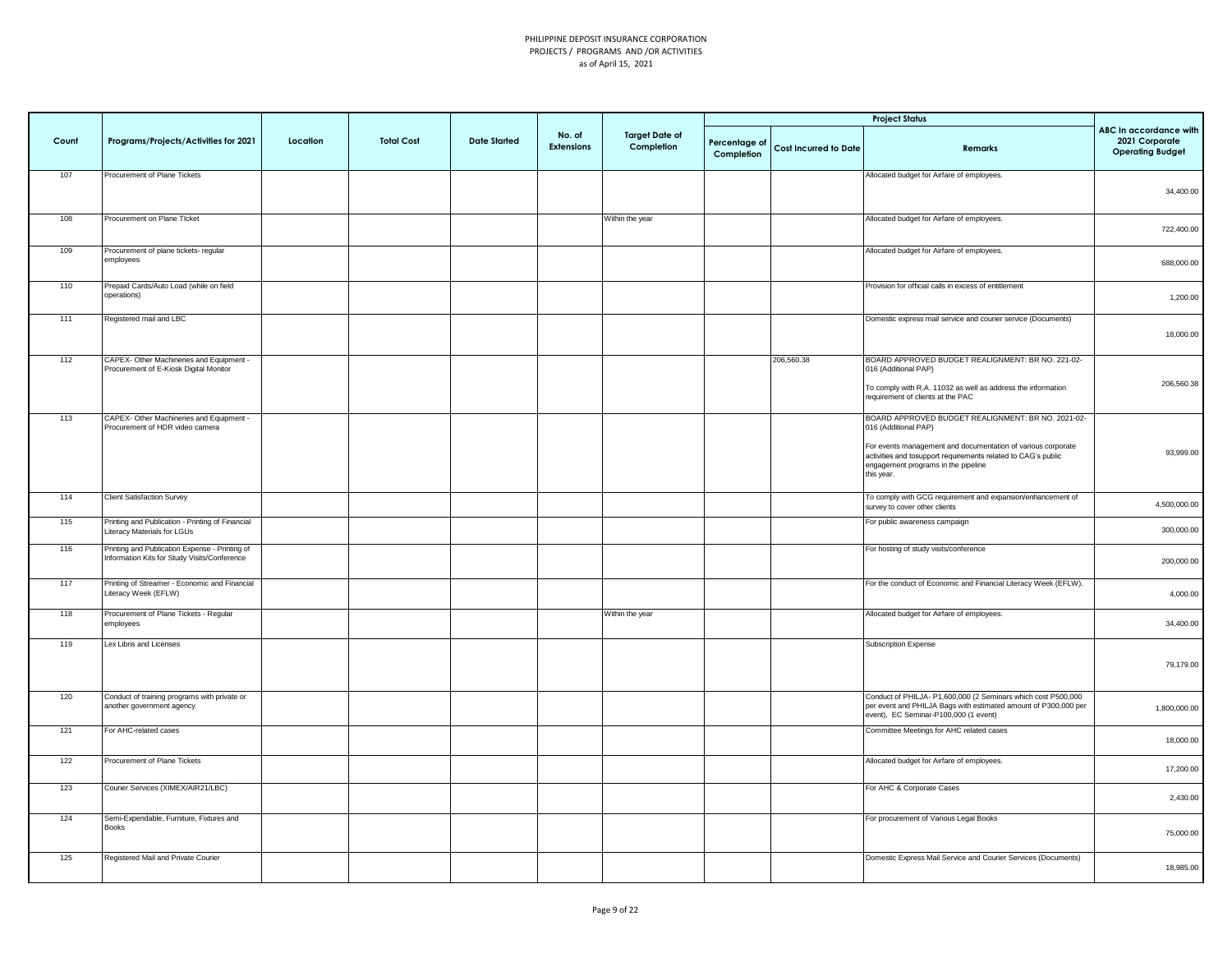|       |                                                                                                |          |                   |                     |                             |                                     |                             |                       | <b>Project Status</b>                                                                                                                                                              |                                                                     |
|-------|------------------------------------------------------------------------------------------------|----------|-------------------|---------------------|-----------------------------|-------------------------------------|-----------------------------|-----------------------|------------------------------------------------------------------------------------------------------------------------------------------------------------------------------------|---------------------------------------------------------------------|
| Count | Programs/Projects/Activities for 2021                                                          | Location | <b>Total Cost</b> | <b>Date Started</b> | No. of<br><b>Extensions</b> | <b>Target Date of</b><br>Completion | Percentage of<br>Completion | Cost Incurred to Date | <b>Remarks</b>                                                                                                                                                                     | ABC In accordance with<br>2021 Corporate<br><b>Operating Budget</b> |
| 107   | Procurement of Plane Tickets                                                                   |          |                   |                     |                             |                                     |                             |                       | Allocated budget for Airfare of employees.                                                                                                                                         | 34,400.00                                                           |
| 108   | Procurement on Plane Ticket                                                                    |          |                   |                     |                             | Within the year                     |                             |                       | Allocated budget for Airfare of employees.                                                                                                                                         | 722,400.00                                                          |
| 109   | Procurement of plane tickets- regular<br>employees                                             |          |                   |                     |                             |                                     |                             |                       | Allocated budget for Airfare of employees.                                                                                                                                         | 688,000.00                                                          |
| 110   | Prepaid Cards/Auto Load (while on field<br>operations)                                         |          |                   |                     |                             |                                     |                             |                       | Provision for official calls in excess of entitlement                                                                                                                              | 1,200.00                                                            |
| 111   | Registered mail and LBC                                                                        |          |                   |                     |                             |                                     |                             |                       | Domestic express mail service and courier service (Documents)                                                                                                                      | 18,000.00                                                           |
| $112$ | CAPEX- Other Machineries and Equipment -<br>Procurement of E-Kiosk Digital Monitor             |          |                   |                     |                             |                                     |                             | 206,560.38            | BOARD APPROVED BUDGET REALIGNMENT: BR NO. 221-02-<br>016 (Additional PAP)                                                                                                          |                                                                     |
|       |                                                                                                |          |                   |                     |                             |                                     |                             |                       | To comply with R.A. 11032 as well as address the information<br>requirement of clients at the PAC                                                                                  | 206,560.38                                                          |
| 113   | CAPEX- Other Machineries and Equipment -<br>Procurement of HDR video camera                    |          |                   |                     |                             |                                     |                             |                       | BOARD APPROVED BUDGET REALIGNMENT: BR NO. 2021-02-<br>016 (Additional PAP)                                                                                                         |                                                                     |
|       |                                                                                                |          |                   |                     |                             |                                     |                             |                       | For events management and documentation of various corporate<br>activities and tosupport requirements related to CAG's public<br>engagement programs in the pipeline<br>this year. | 93,999.00                                                           |
| 114   | <b>Client Satisfaction Survey</b>                                                              |          |                   |                     |                             |                                     |                             |                       | To comply with GCG requirement and expansion/enhancement of<br>survey to cover other clients                                                                                       | 4,500,000.00                                                        |
| 115   | Printing and Publication - Printing of Financial<br>iteracy Materials for LGUs                 |          |                   |                     |                             |                                     |                             |                       | For public awareness campaign                                                                                                                                                      | 300,000.00                                                          |
| 116   | Printing and Publication Expense - Printing of<br>Information Kits for Study Visits/Conference |          |                   |                     |                             |                                     |                             |                       | For hosting of study visits/conference                                                                                                                                             | 200,000.00                                                          |
| 117   | Printing of Streamer - Economic and Financial<br>iteracy Week (EFLW)                           |          |                   |                     |                             |                                     |                             |                       | For the conduct of Economic and Financial Literacy Week (EFLW).                                                                                                                    | 4,000.00                                                            |
| 118   | Procurement of Plane Tickets - Regular<br>mployees                                             |          |                   |                     |                             | Within the year                     |                             |                       | Allocated budget for Airfare of employees.                                                                                                                                         | 34,400.00                                                           |
| 119   | Lex Libris and Licenses                                                                        |          |                   |                     |                             |                                     |                             |                       | Subscription Expense                                                                                                                                                               | 79,179.00                                                           |
| 120   | Conduct of training programs with private or<br>inother government agency                      |          |                   |                     |                             |                                     |                             |                       | Conduct of PHILJA- P1,600,000 (2 Seminars which cost P500,000<br>per event and PHILJA Bags with estimated amount of P300,000 per<br>event), EC Seminar-P100,000 (1 event)          | 1,800,000.00                                                        |
| 121   | For AHC-related cases                                                                          |          |                   |                     |                             |                                     |                             |                       | Committee Meetings for AHC related cases                                                                                                                                           | 18,000.00                                                           |
| 122   | Procurement of Plane Tickets                                                                   |          |                   |                     |                             |                                     |                             |                       | Allocated budget for Airfare of employees.                                                                                                                                         | 17,200.00                                                           |
| 123   | Courier Services (XIMEX/AIR21/LBC)                                                             |          |                   |                     |                             |                                     |                             |                       | For AHC & Corporate Cases                                                                                                                                                          | 2,430.00                                                            |
| 124   | Semi-Expendable, Furniture, Fixtures and<br><b>Books</b>                                       |          |                   |                     |                             |                                     |                             |                       | For procurement of Various Legal Books                                                                                                                                             | 75,000.00                                                           |
| 125   | Registered Mail and Private Courier                                                            |          |                   |                     |                             |                                     |                             |                       | Domestic Express Mail Service and Courier Services (Documents)                                                                                                                     | 18,985.00                                                           |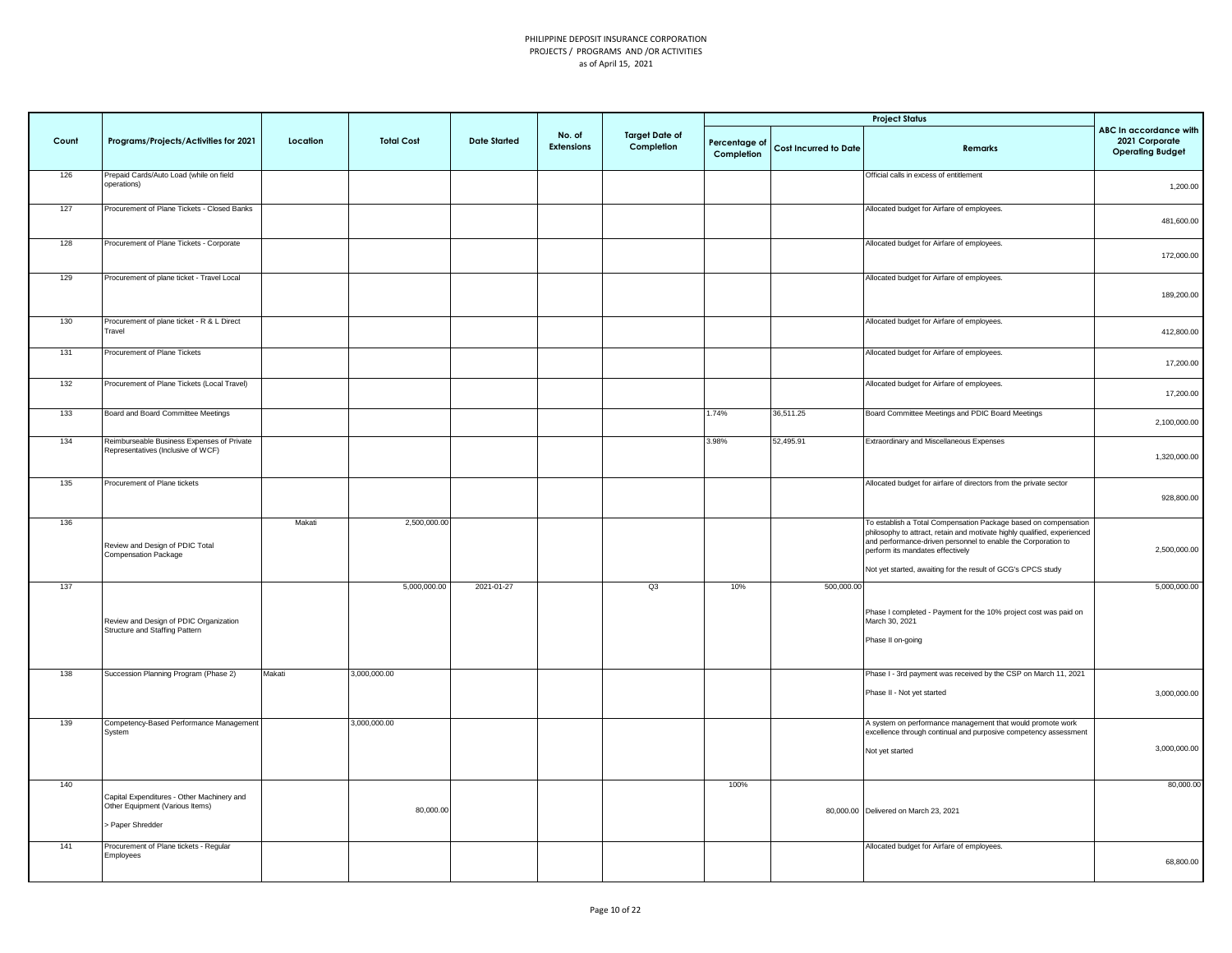|       |                                                                                                 |          |                   |                     |                             |                                     |                             |                              | <b>Project Status</b>                                                                                                                                                                                                                                                                                            |                                                                     |
|-------|-------------------------------------------------------------------------------------------------|----------|-------------------|---------------------|-----------------------------|-------------------------------------|-----------------------------|------------------------------|------------------------------------------------------------------------------------------------------------------------------------------------------------------------------------------------------------------------------------------------------------------------------------------------------------------|---------------------------------------------------------------------|
| Count | Programs/Projects/Activities for 2021                                                           | Location | <b>Total Cost</b> | <b>Date Started</b> | No. of<br><b>Extensions</b> | <b>Target Date of</b><br>Completion | Percentage of<br>Completion | <b>Cost Incurred to Date</b> | <b>Remarks</b>                                                                                                                                                                                                                                                                                                   | ABC In accordance with<br>2021 Corporate<br><b>Operating Budget</b> |
| 126   | Prepaid Cards/Auto Load (while on field<br>operations)                                          |          |                   |                     |                             |                                     |                             |                              | Official calls in excess of entitlement                                                                                                                                                                                                                                                                          | 1,200.00                                                            |
| 127   | Procurement of Plane Tickets - Closed Banks                                                     |          |                   |                     |                             |                                     |                             |                              | Allocated budget for Airfare of employees.                                                                                                                                                                                                                                                                       | 481,600.00                                                          |
| 128   | Procurement of Plane Tickets - Corporate                                                        |          |                   |                     |                             |                                     |                             |                              | Allocated budget for Airfare of employees.                                                                                                                                                                                                                                                                       | 172,000.00                                                          |
| 129   | Procurement of plane ticket - Travel Local                                                      |          |                   |                     |                             |                                     |                             |                              | Allocated budget for Airfare of employees.                                                                                                                                                                                                                                                                       | 189,200.00                                                          |
| 130   | Procurement of plane ticket - R & L Direct<br>Travel                                            |          |                   |                     |                             |                                     |                             |                              | Allocated budget for Airfare of employees.                                                                                                                                                                                                                                                                       | 412,800.00                                                          |
| 131   | Procurement of Plane Tickets                                                                    |          |                   |                     |                             |                                     |                             |                              | Allocated budget for Airfare of employees.                                                                                                                                                                                                                                                                       | 17,200.00                                                           |
| 132   | Procurement of Plane Tickets (Local Travel)                                                     |          |                   |                     |                             |                                     |                             |                              | Allocated budget for Airfare of employees.                                                                                                                                                                                                                                                                       | 17,200.00                                                           |
| 133   | Board and Board Committee Meetings                                                              |          |                   |                     |                             |                                     | 1.74%                       | 36,511.25                    | Board Committee Meetings and PDIC Board Meetings                                                                                                                                                                                                                                                                 | 2,100,000.00                                                        |
| 134   | Reimburseable Business Expenses of Private<br>Representatives (Inclusive of WCF)                |          |                   |                     |                             |                                     | 3.98%                       | 52,495.91                    | Extraordinary and Miscellaneous Expenses                                                                                                                                                                                                                                                                         | 1,320,000.00                                                        |
| 135   | Procurement of Plane tickets                                                                    |          |                   |                     |                             |                                     |                             |                              | Allocated budget for airfare of directors from the private sector                                                                                                                                                                                                                                                | 928,800.00                                                          |
| 136   | Review and Design of PDIC Total<br>Compensation Package                                         | Makati   | 2,500,000.00      |                     |                             |                                     |                             |                              | To establish a Total Compensation Package based on compensation<br>philosophy to attract, retain and motivate highly qualified, experienced<br>and performance-driven personnel to enable the Corporation to<br>perform its mandates effectively<br>Not yet started, awaiting for the result of GCG's CPCS study | 2,500,000.00                                                        |
| 137   |                                                                                                 |          | 5,000,000.00      | 2021-01-27          |                             | Q3                                  | 10%                         | 500,000.00                   |                                                                                                                                                                                                                                                                                                                  | 5,000,000.00                                                        |
|       | Review and Design of PDIC Organization<br>Structure and Staffing Pattern                        |          |                   |                     |                             |                                     |                             |                              | Phase I completed - Payment for the 10% project cost was paid on<br>March 30, 2021<br>Phase II on-going                                                                                                                                                                                                          |                                                                     |
| 138   | Succession Planning Program (Phase 2)                                                           | Makati   | 3,000,000.00      |                     |                             |                                     |                             |                              | Phase I - 3rd payment was received by the CSP on March 11, 2021<br>Phase II - Not yet started                                                                                                                                                                                                                    | 3,000,000.00                                                        |
| 139   | Competency-Based Performance Management<br>System                                               |          | 3,000,000.00      |                     |                             |                                     |                             |                              | A system on performance management that would promote work<br>excellence through continual and purposive competency assessment<br>Not yet started                                                                                                                                                                | 3,000,000.00                                                        |
| 140   | Capital Expenditures - Other Machinery and<br>Other Equipment (Various Items)<br>Paper Shredder |          | 80,000.00         |                     |                             |                                     | 100%                        |                              | 80,000.00 Delivered on March 23, 2021                                                                                                                                                                                                                                                                            | 80,000.00                                                           |
| 141   | Procurement of Plane tickets - Regular<br>Employees                                             |          |                   |                     |                             |                                     |                             |                              | Allocated budget for Airfare of employees.                                                                                                                                                                                                                                                                       | 68,800.00                                                           |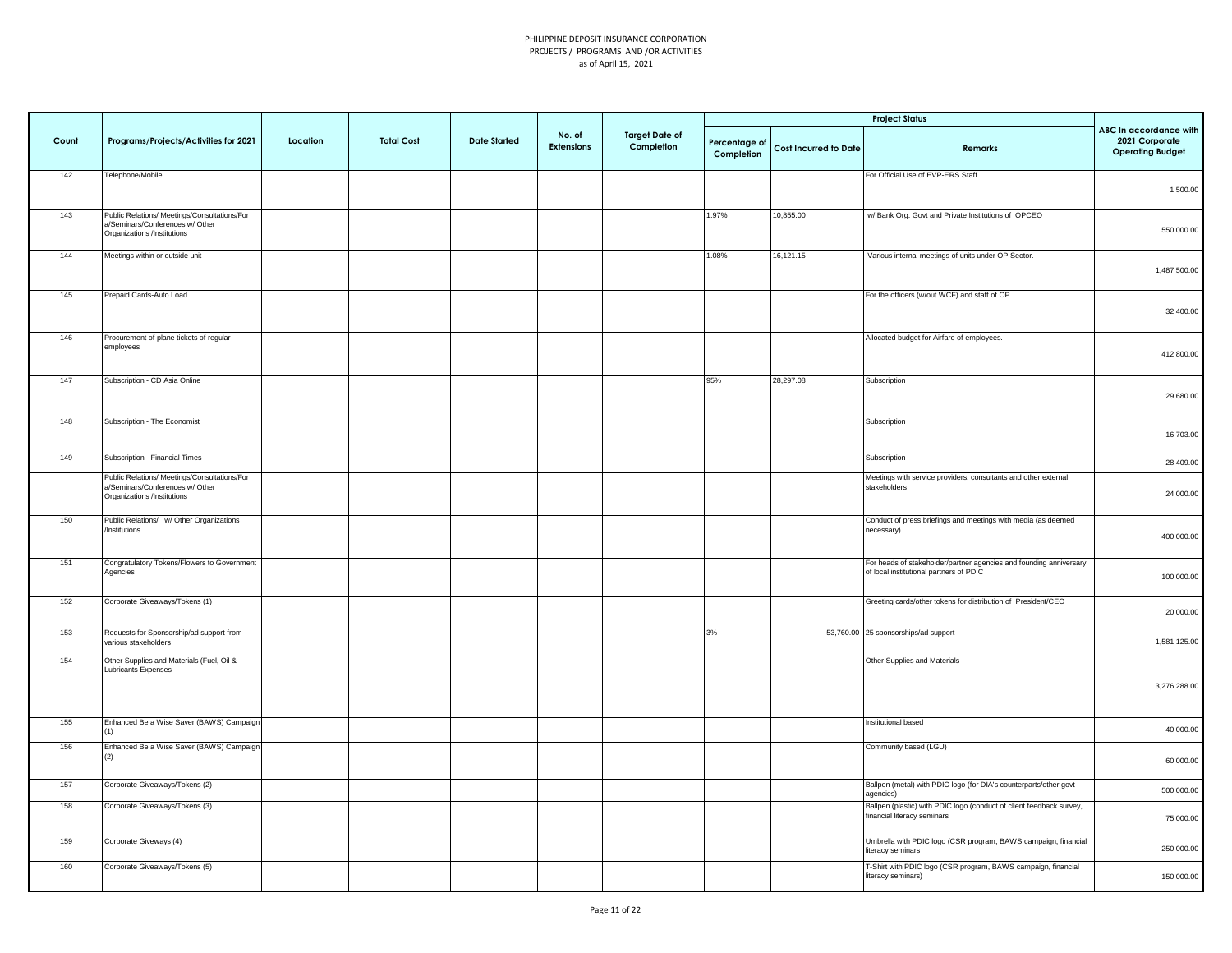|       |                                                                                                                |          |                   |                     |                             |                                     |                             |                              | <b>Project Status</b>                                                                                         |                                                                     |
|-------|----------------------------------------------------------------------------------------------------------------|----------|-------------------|---------------------|-----------------------------|-------------------------------------|-----------------------------|------------------------------|---------------------------------------------------------------------------------------------------------------|---------------------------------------------------------------------|
| Count | Programs/Projects/Activities for 2021                                                                          | Location | <b>Total Cost</b> | <b>Date Started</b> | No. of<br><b>Extensions</b> | <b>Target Date of</b><br>Completion | Percentage of<br>Completion | <b>Cost Incurred to Date</b> | Remarks                                                                                                       | ABC In accordance with<br>2021 Corporate<br><b>Operating Budget</b> |
| 142   | Telephone/Mobile                                                                                               |          |                   |                     |                             |                                     |                             |                              | For Official Use of EVP-ERS Staff                                                                             | 1,500.00                                                            |
| 143   | Public Relations/ Meetings/Consultations/For<br>a/Seminars/Conferences w/ Other<br>Organizations /Institutions |          |                   |                     |                             |                                     | 1.97%                       | 10,855.00                    | w/ Bank Org. Govt and Private Institutions of OPCEO                                                           | 550,000.00                                                          |
| 144   | Meetings within or outside unit                                                                                |          |                   |                     |                             |                                     | 1.08%                       | 16,121.15                    | Various internal meetings of units under OP Sector.                                                           | 1,487,500.00                                                        |
| 145   | Prepaid Cards-Auto Load                                                                                        |          |                   |                     |                             |                                     |                             |                              | For the officers (w/out WCF) and staff of OP                                                                  | 32,400.00                                                           |
| 146   | Procurement of plane tickets of regular<br>employees                                                           |          |                   |                     |                             |                                     |                             |                              | Allocated budget for Airfare of employees.                                                                    | 412,800.00                                                          |
| 147   | Subscription - CD Asia Online                                                                                  |          |                   |                     |                             |                                     | 95%                         | 28,297.08                    | Subscription                                                                                                  | 29,680.00                                                           |
| 148   | Subscription - The Economist                                                                                   |          |                   |                     |                             |                                     |                             |                              | Subscription                                                                                                  | 16,703.00                                                           |
| 149   | Subscription - Financial Times                                                                                 |          |                   |                     |                             |                                     |                             |                              | Subscription                                                                                                  | 28,409.00                                                           |
|       | Public Relations/ Meetings/Consultations/For<br>a/Seminars/Conferences w/ Other<br>Organizations /Institutions |          |                   |                     |                             |                                     |                             |                              | Meetings with service providers, consultants and other external<br>stakeholders                               | 24,000.00                                                           |
| 150   | Public Relations/ w/ Other Organizations<br>/Institutions                                                      |          |                   |                     |                             |                                     |                             |                              | Conduct of press briefings and meetings with media (as deemed<br>necessary)                                   | 400,000.00                                                          |
| 151   | Congratulatory Tokens/Flowers to Government<br>Agencies                                                        |          |                   |                     |                             |                                     |                             |                              | For heads of stakeholder/partner agencies and founding anniversary<br>of local institutional partners of PDIC | 100,000.00                                                          |
| 152   | Corporate Giveaways/Tokens (1)                                                                                 |          |                   |                     |                             |                                     |                             |                              | Greeting cards/other tokens for distribution of President/CEO                                                 | 20,000.00                                                           |
| 153   | Requests for Sponsorship/ad support from<br>various stakeholders                                               |          |                   |                     |                             |                                     | 3%                          |                              | 53,760.00 25 sponsorships/ad support                                                                          | 1,581,125.00                                                        |
| 154   | Other Supplies and Materials (Fuel, Oil &<br>Lubricants Expenses                                               |          |                   |                     |                             |                                     |                             |                              | Other Supplies and Materials                                                                                  | 3,276,288.00                                                        |
| 155   | Enhanced Be a Wise Saver (BAWS) Campaign                                                                       |          |                   |                     |                             |                                     |                             |                              | Institutional based                                                                                           | 40,000.00                                                           |
| 156   | Enhanced Be a Wise Saver (BAWS) Campaign<br>(2)                                                                |          |                   |                     |                             |                                     |                             |                              | Community based (LGU)                                                                                         | 60,000.00                                                           |
| 157   | Corporate Giveaways/Tokens (2)                                                                                 |          |                   |                     |                             |                                     |                             |                              | Ballpen (metal) with PDIC logo (for DIA's counterparts/other govt<br>agencies)                                | 500,000.00                                                          |
| 158   | Corporate Giveaways/Tokens (3)                                                                                 |          |                   |                     |                             |                                     |                             |                              | Ballpen (plastic) with PDIC logo (conduct of client feedback survey,<br>financial literacy seminars           | 75,000.00                                                           |
| 159   | Corporate Giveways (4)                                                                                         |          |                   |                     |                             |                                     |                             |                              | Umbrella with PDIC logo (CSR program, BAWS campaign, financial<br>literacy seminars                           | 250,000.00                                                          |
| 160   | Corporate Giveaways/Tokens (5)                                                                                 |          |                   |                     |                             |                                     |                             |                              | T-Shirt with PDIC logo (CSR program, BAWS campaign, financial<br>literacy seminars)                           | 150,000.00                                                          |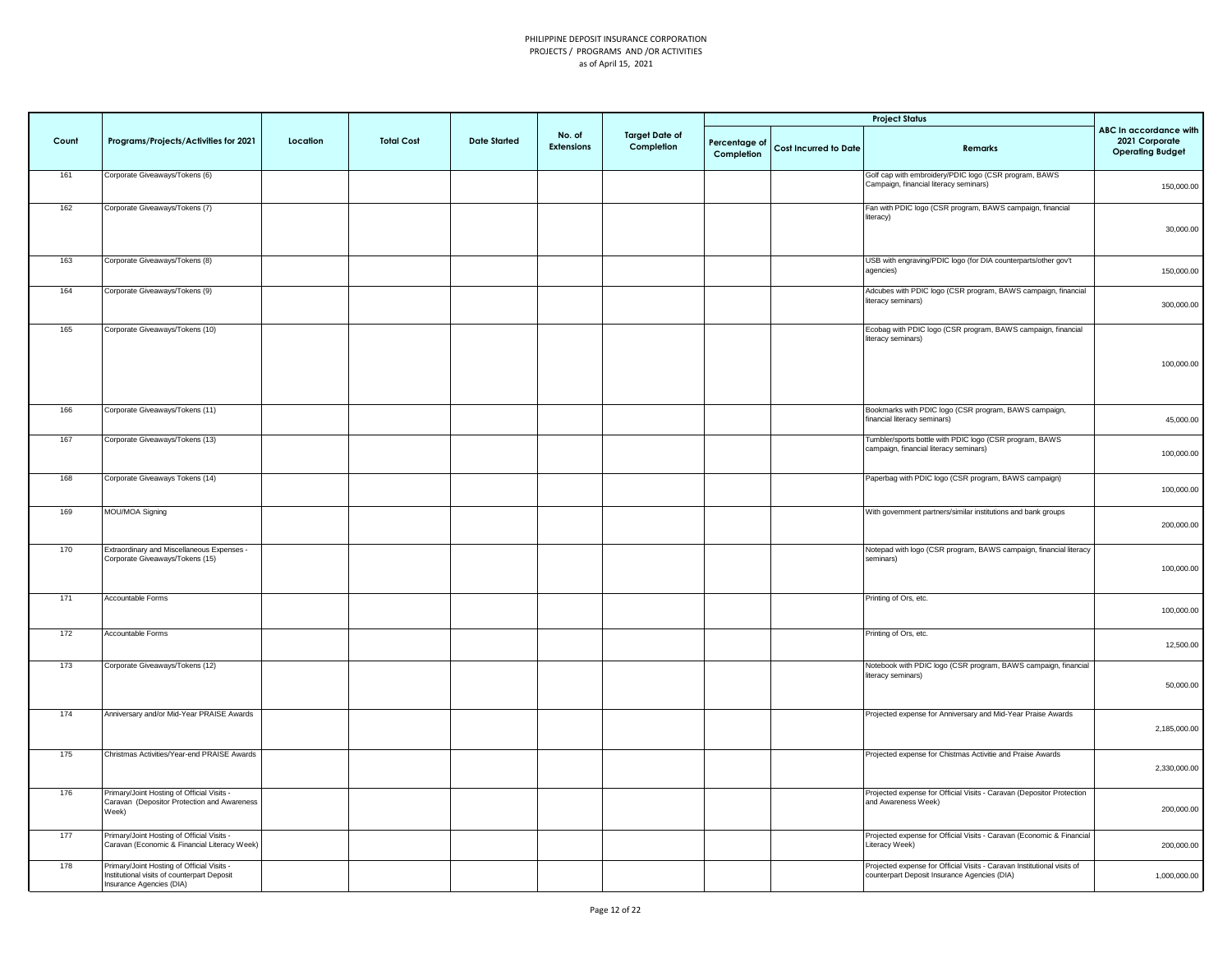|       |                                                                                                                       |          |                   |                     |                             |                                     |                             |                              | <b>Project Status</b>                                                                                                   |                                                                     |
|-------|-----------------------------------------------------------------------------------------------------------------------|----------|-------------------|---------------------|-----------------------------|-------------------------------------|-----------------------------|------------------------------|-------------------------------------------------------------------------------------------------------------------------|---------------------------------------------------------------------|
| Count | Programs/Projects/Activities for 2021                                                                                 | Location | <b>Total Cost</b> | <b>Date Started</b> | No. of<br><b>Extensions</b> | <b>Target Date of</b><br>Completion | Percentage of<br>Completion | <b>Cost Incurred to Date</b> | Remarks                                                                                                                 | ABC In accordance with<br>2021 Corporate<br><b>Operating Budget</b> |
| 161   | Corporate Giveaways/Tokens (6)                                                                                        |          |                   |                     |                             |                                     |                             |                              | Golf cap with embroidery/PDIC logo (CSR program, BAWS<br>Campaign, financial literacy seminars)                         | 150,000.00                                                          |
| 162   | Corporate Giveaways/Tokens (7)                                                                                        |          |                   |                     |                             |                                     |                             |                              | Fan with PDIC logo (CSR program, BAWS campaign, financial<br>literacy)                                                  | 30,000.00                                                           |
| 163   | Corporate Giveaways/Tokens (8)                                                                                        |          |                   |                     |                             |                                     |                             |                              | USB with engraving/PDIC logo (for DIA counterparts/other gov't<br>agencies)                                             | 150,000.00                                                          |
| 164   | Corporate Giveaways/Tokens (9)                                                                                        |          |                   |                     |                             |                                     |                             |                              | Adcubes with PDIC logo (CSR program, BAWS campaign, financial<br>literacy seminars)                                     | 300,000.00                                                          |
| 165   | Corporate Giveaways/Tokens (10)                                                                                       |          |                   |                     |                             |                                     |                             |                              | Ecobag with PDIC logo (CSR program, BAWS campaign, financial<br>literacy seminars)                                      | 100,000.00                                                          |
| 166   | Corporate Giveaways/Tokens (11)                                                                                       |          |                   |                     |                             |                                     |                             |                              | Bookmarks with PDIC logo (CSR program, BAWS campaign,<br>financial literacy seminars)                                   | 45,000.00                                                           |
| 167   | Corporate Giveaways/Tokens (13)                                                                                       |          |                   |                     |                             |                                     |                             |                              | Tumbler/sports bottle with PDIC logo (CSR program, BAWS<br>campaign, financial literacy seminars)                       | 100,000.00                                                          |
| 168   | Corporate Giveaways Tokens (14)                                                                                       |          |                   |                     |                             |                                     |                             |                              | Paperbag with PDIC logo (CSR program, BAWS campaign)                                                                    | 100,000.00                                                          |
| 169   | MOU/MOA Signing                                                                                                       |          |                   |                     |                             |                                     |                             |                              | With government partners/similar institutions and bank groups                                                           | 200,000.00                                                          |
| 170   | Extraordinary and Miscellaneous Expenses -<br>Corporate Giveaways/Tokens (15)                                         |          |                   |                     |                             |                                     |                             |                              | Notepad with logo (CSR program, BAWS campaign, financial literacy<br>seminars)                                          | 100,000.00                                                          |
| 171   | Accountable Forms                                                                                                     |          |                   |                     |                             |                                     |                             |                              | Printing of Ors, etc.                                                                                                   | 100,000.00                                                          |
| 172   | Accountable Forms                                                                                                     |          |                   |                     |                             |                                     |                             |                              | Printing of Ors, etc.                                                                                                   | 12,500.00                                                           |
| 173   | Corporate Giveaways/Tokens (12)                                                                                       |          |                   |                     |                             |                                     |                             |                              | Notebook with PDIC logo (CSR program, BAWS campaign, financial<br>literacy seminars)                                    | 50,000.00                                                           |
| 174   | Anniversary and/or Mid-Year PRAISE Awards                                                                             |          |                   |                     |                             |                                     |                             |                              | Projected expense for Anniversary and Mid-Year Praise Awards                                                            | 2,185,000.00                                                        |
| 175   | Christmas Activities/Year-end PRAISE Awards                                                                           |          |                   |                     |                             |                                     |                             |                              | Projected expense for Chistmas Activitie and Praise Awards                                                              | 2,330,000.00                                                        |
| 176   | Primary/Joint Hosting of Official Visits -<br>Caravan (Depositor Protection and Awareness<br>Neek)                    |          |                   |                     |                             |                                     |                             |                              | Projected expense for Official Visits - Caravan (Depositor Protection<br>and Awareness Week)                            | 200,000.00                                                          |
| 177   | Primary/Joint Hosting of Official Visits -<br>Caravan (Economic & Financial Literacy Week)                            |          |                   |                     |                             |                                     |                             |                              | Projected expense for Official Visits - Caravan (Economic & Financial<br>Literacy Week)                                 | 200,000.00                                                          |
| 178   | Primary/Joint Hosting of Official Visits -<br>Institutional visits of counterpart Deposit<br>Insurance Agencies (DIA) |          |                   |                     |                             |                                     |                             |                              | Projected expense for Official Visits - Caravan Institutional visits of<br>counterpart Deposit Insurance Agencies (DIA) | 1,000,000.00                                                        |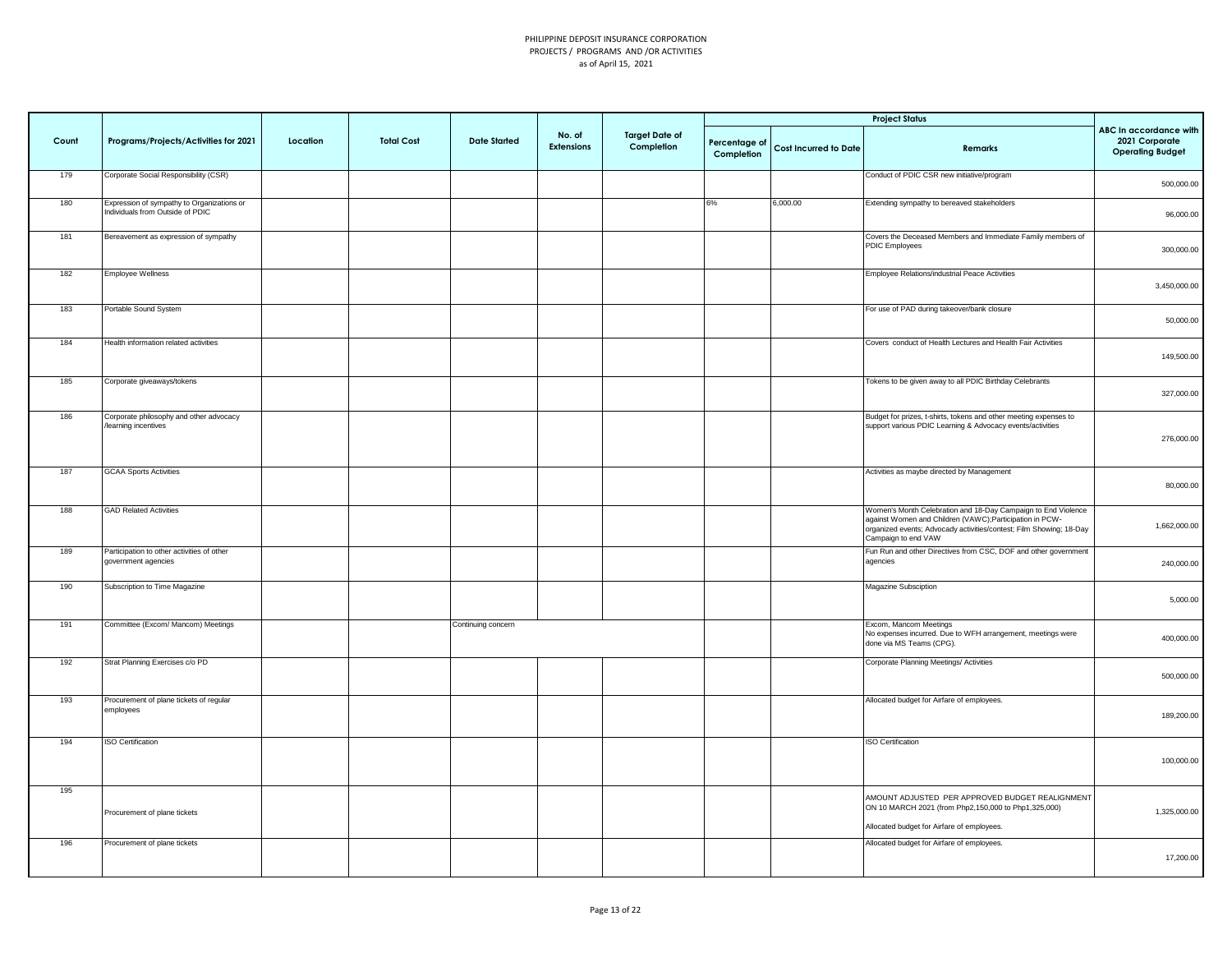|       |                                                                                |          |                   |                     |                      |                                     |                             |                       | <b>Project Status</b>                                                                                                                                                                                                   |                                                                     |
|-------|--------------------------------------------------------------------------------|----------|-------------------|---------------------|----------------------|-------------------------------------|-----------------------------|-----------------------|-------------------------------------------------------------------------------------------------------------------------------------------------------------------------------------------------------------------------|---------------------------------------------------------------------|
| Count | Programs/Projects/Activities for 2021                                          | Location | <b>Total Cost</b> | <b>Date Started</b> | No. of<br>Extensions | <b>Target Date of</b><br>Completion | Percentage of<br>Completion | Cost Incurred to Date | Remarks                                                                                                                                                                                                                 | ABC In accordance with<br>2021 Corporate<br><b>Operating Budget</b> |
| 179   | Corporate Social Responsibility (CSR)                                          |          |                   |                     |                      |                                     |                             |                       | Conduct of PDIC CSR new initiative/program                                                                                                                                                                              | 500,000.00                                                          |
| 180   | Expression of sympathy to Organizations or<br>Individuals from Outside of PDIC |          |                   |                     |                      |                                     | 6%                          | 6,000.00              | Extending sympathy to bereaved stakeholders                                                                                                                                                                             | 96,000.00                                                           |
| 181   | Bereavement as expression of sympathy                                          |          |                   |                     |                      |                                     |                             |                       | Covers the Deceased Members and Immediate Family members of<br>PDIC Employees                                                                                                                                           | 300,000.00                                                          |
| 182   | <b>Employee Wellness</b>                                                       |          |                   |                     |                      |                                     |                             |                       | Employee Relations/industrial Peace Activities                                                                                                                                                                          | 3,450,000.00                                                        |
| 183   | Portable Sound System                                                          |          |                   |                     |                      |                                     |                             |                       | For use of PAD during takeover/bank closure                                                                                                                                                                             | 50,000.00                                                           |
| 184   | Health information related activities                                          |          |                   |                     |                      |                                     |                             |                       | Covers conduct of Health Lectures and Health Fair Activities                                                                                                                                                            | 149,500.00                                                          |
| 185   | Corporate giveaways/tokens                                                     |          |                   |                     |                      |                                     |                             |                       | Tokens to be given away to all PDIC Birthday Celebrants                                                                                                                                                                 | 327,000.00                                                          |
| 186   | Corporate philosophy and other advocacy<br>learning incentives                 |          |                   |                     |                      |                                     |                             |                       | Budget for prizes, t-shirts, tokens and other meeting expenses to<br>support various PDIC Learning & Advocacy events/activities                                                                                         | 276,000.00                                                          |
| 187   | <b>GCAA Sports Activities</b>                                                  |          |                   |                     |                      |                                     |                             |                       | Activities as maybe directed by Management                                                                                                                                                                              | 80,000.00                                                           |
| 188   | <b>GAD Related Activities</b>                                                  |          |                   |                     |                      |                                     |                             |                       | Women's Month Celebration and 18-Day Campaign to End Violence<br>against Women and Children (VAWC); Participation in PCW-<br>organized events; Advocady activities/contest; Film Showing; 18-Day<br>Campaign to end VAW | 1,662,000.00                                                        |
| 189   | Participation to other activities of other<br>government agencies              |          |                   |                     |                      |                                     |                             |                       | Fun Run and other Directives from CSC, DOF and other government<br>agencies                                                                                                                                             | 240,000.00                                                          |
| 190   | Subscription to Time Magazine                                                  |          |                   |                     |                      |                                     |                             |                       | Magazine Subsciption                                                                                                                                                                                                    | 5,000.00                                                            |
| 191   | Committee (Excom/ Mancom) Meetings                                             |          |                   | Continuing concern  |                      |                                     |                             |                       | Excom, Mancom Meetings<br>No expenses incurred. Due to WFH arrangement, meetings were<br>done via MS Teams (CPG).                                                                                                       | 400,000.00                                                          |
| 192   | Strat Planning Exercises c/o PD                                                |          |                   |                     |                      |                                     |                             |                       | Corporate Planning Meetings/ Activities                                                                                                                                                                                 | 500,000.00                                                          |
| 193   | Procurement of plane tickets of regular<br>employees                           |          |                   |                     |                      |                                     |                             |                       | Allocated budget for Airfare of employees.                                                                                                                                                                              | 189,200.00                                                          |
| 194   | <b>ISO Certification</b>                                                       |          |                   |                     |                      |                                     |                             |                       | <b>ISO Certification</b>                                                                                                                                                                                                | 100,000.00                                                          |
| 195   | Procurement of plane tickets                                                   |          |                   |                     |                      |                                     |                             |                       | AMOUNT ADJUSTED PER APPROVED BUDGET REALIGNMENT<br>ON 10 MARCH 2021 (from Php2,150,000 to Php1,325,000)<br>Allocated budget for Airfare of employees.                                                                   | 1,325,000.00                                                        |
| 196   | Procurement of plane tickets                                                   |          |                   |                     |                      |                                     |                             |                       | Allocated budget for Airfare of employees.                                                                                                                                                                              | 17,200.00                                                           |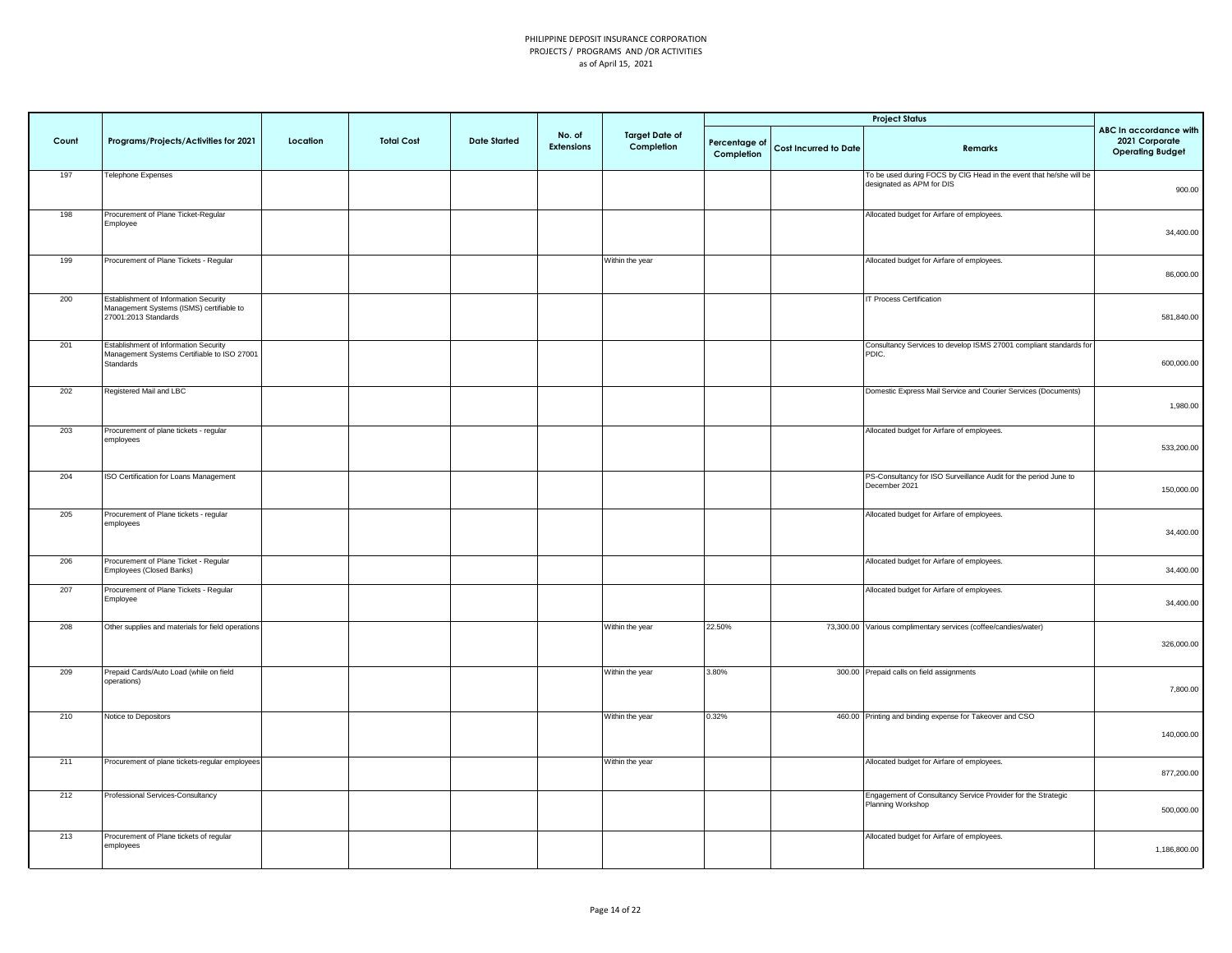|       |                                                                                                           |          |                   |                     |                             |                                     |                             |                              | <b>Project Status</b>                                                                            |                                                                     |
|-------|-----------------------------------------------------------------------------------------------------------|----------|-------------------|---------------------|-----------------------------|-------------------------------------|-----------------------------|------------------------------|--------------------------------------------------------------------------------------------------|---------------------------------------------------------------------|
| Count | Programs/Projects/Activities for 2021                                                                     | Location | <b>Total Cost</b> | <b>Date Started</b> | No. of<br><b>Extensions</b> | <b>Target Date of</b><br>Completion | Percentage of<br>Completion | <b>Cost Incurred to Date</b> | Remarks                                                                                          | ABC In accordance with<br>2021 Corporate<br><b>Operating Budget</b> |
| 197   | Telephone Expenses                                                                                        |          |                   |                     |                             |                                     |                             |                              | To be used during FOCS by CIG Head in the event that he/she will be<br>designated as APM for DIS | 900.00                                                              |
| 198   | Procurement of Plane Ticket-Regular<br>Employee                                                           |          |                   |                     |                             |                                     |                             |                              | Allocated budget for Airfare of employees.                                                       | 34,400.00                                                           |
| 199   | Procurement of Plane Tickets - Regular                                                                    |          |                   |                     |                             | Within the year                     |                             |                              | Allocated budget for Airfare of employees.                                                       | 86,000.00                                                           |
| 200   | Establishment of Information Security<br>Management Systems (ISMS) certifiable to<br>27001:2013 Standards |          |                   |                     |                             |                                     |                             |                              | IT Process Certification                                                                         | 581,840.00                                                          |
| 201   | Establishment of Information Security<br>Management Systems Certifiable to ISO 27001<br>Standards         |          |                   |                     |                             |                                     |                             |                              | Consultancy Services to develop ISMS 27001 compliant standards for<br>PDIC.                      | 600,000.00                                                          |
| 202   | Registered Mail and LBC                                                                                   |          |                   |                     |                             |                                     |                             |                              | Domestic Express Mail Service and Courier Services (Documents)                                   | 1,980.00                                                            |
| 203   | Procurement of plane tickets - regular<br>employees                                                       |          |                   |                     |                             |                                     |                             |                              | Allocated budget for Airfare of employees.                                                       | 533,200.00                                                          |
| 204   | ISO Certification for Loans Management                                                                    |          |                   |                     |                             |                                     |                             |                              | PS-Consultancy for ISO Surveillance Audit for the period June to<br>December 2021                | 150,000.00                                                          |
| 205   | Procurement of Plane tickets - regular<br>employees                                                       |          |                   |                     |                             |                                     |                             |                              | Allocated budget for Airfare of employees.                                                       | 34,400.00                                                           |
| 206   | Procurement of Plane Ticket - Regular<br>Employees (Closed Banks)                                         |          |                   |                     |                             |                                     |                             |                              | Allocated budget for Airfare of employees.                                                       | 34,400.00                                                           |
| 207   | Procurement of Plane Tickets - Regular<br>Employee                                                        |          |                   |                     |                             |                                     |                             |                              | Allocated budget for Airfare of employees.                                                       | 34,400.00                                                           |
| 208   | Other supplies and materials for field operations                                                         |          |                   |                     |                             | Within the year                     | 22.50%                      |                              | 73,300.00 Various complimentary services (coffee/candies/water)                                  | 326,000.00                                                          |
| 209   | Prepaid Cards/Auto Load (while on field<br>operations)                                                    |          |                   |                     |                             | Within the year                     | 3.80%                       |                              | 300.00 Prepaid calls on field assignments                                                        | 7,800.00                                                            |
| 210   | Notice to Depositors                                                                                      |          |                   |                     |                             | Within the year                     | 0.32%                       |                              | 460.00 Printing and binding expense for Takeover and CSO                                         | 140,000.00                                                          |
| 211   | Procurement of plane tickets-regular employees                                                            |          |                   |                     |                             | Within the year                     |                             |                              | Allocated budget for Airfare of employees.                                                       | 877,200.00                                                          |
| 212   | Professional Services-Consultancy                                                                         |          |                   |                     |                             |                                     |                             |                              | Engagement of Consultancy Service Provider for the Strategic<br>Planning Workshop                | 500,000.00                                                          |
| 213   | Procurement of Plane tickets of regular<br>employees                                                      |          |                   |                     |                             |                                     |                             |                              | Allocated budget for Airfare of employees.                                                       | 1,186,800.00                                                        |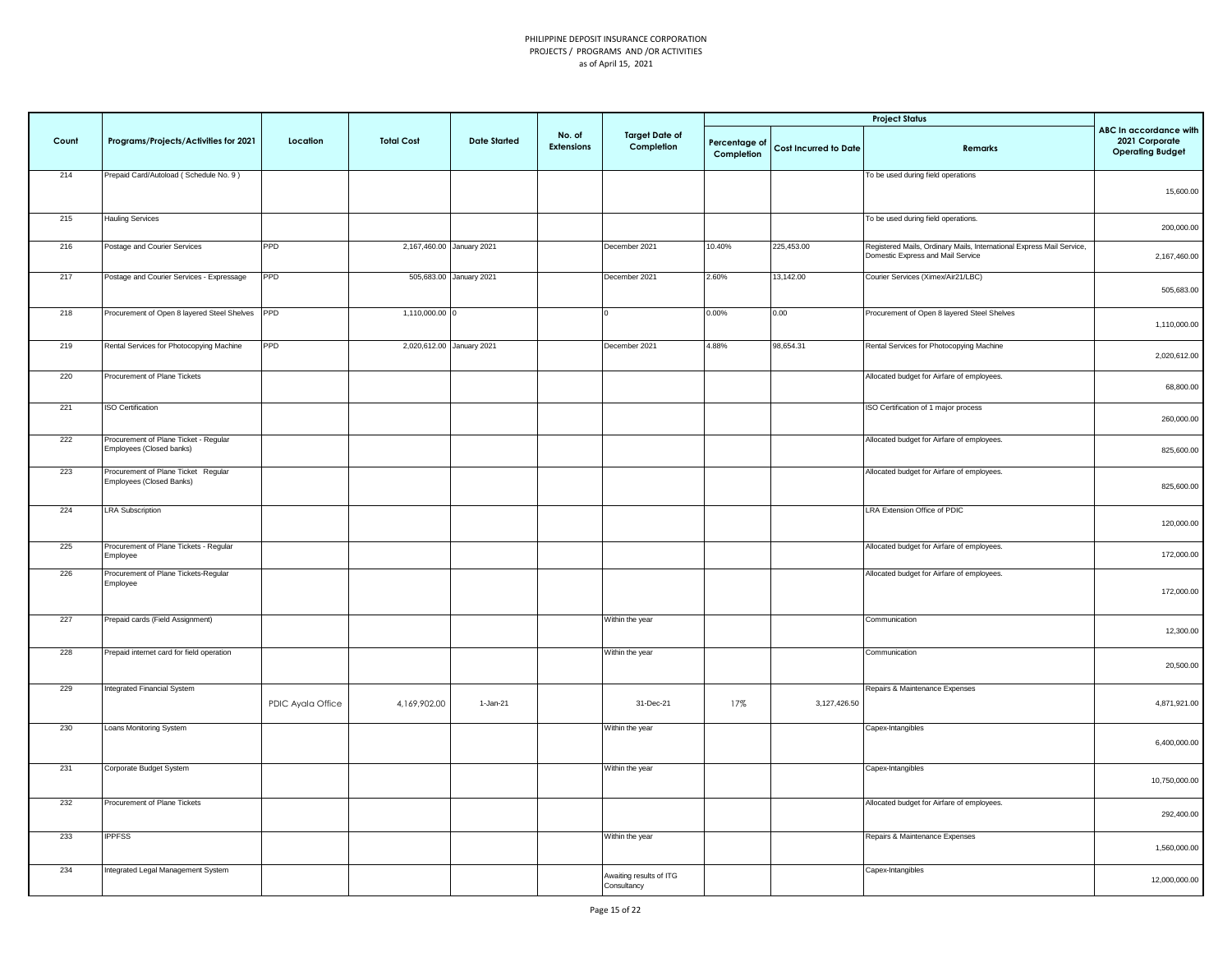|       |                                                                   |                   |                   |                           |                             |                                        |                             |                              | <b>Project Status</b>                                                                                      |                                                                     |
|-------|-------------------------------------------------------------------|-------------------|-------------------|---------------------------|-----------------------------|----------------------------------------|-----------------------------|------------------------------|------------------------------------------------------------------------------------------------------------|---------------------------------------------------------------------|
| Count | Programs/Projects/Activities for 2021                             | Location          | <b>Total Cost</b> | <b>Date Started</b>       | No. of<br><b>Extensions</b> | <b>Target Date of</b><br>Completion    | Percentage of<br>Completion | <b>Cost Incurred to Date</b> | Remarks                                                                                                    | ABC In accordance with<br>2021 Corporate<br><b>Operating Budget</b> |
| 214   | Prepaid Card/Autoload (Schedule No. 9)                            |                   |                   |                           |                             |                                        |                             |                              | To be used during field operations                                                                         | 15,600.00                                                           |
| 215   | <b>Hauling Services</b>                                           |                   |                   |                           |                             |                                        |                             |                              | To be used during field operations.                                                                        | 200,000.00                                                          |
| 216   | Postage and Courier Services                                      | <b>PPD</b>        |                   | 2,167,460.00 January 2021 |                             | December 2021                          | 10.40%                      | 225,453.00                   | Registered Mails, Ordinary Mails, International Express Mail Service,<br>Domestic Express and Mail Service | 2,167,460.00                                                        |
| 217   | Postage and Courier Services - Expressage                         | PPD               |                   | 505,683.00 January 2021   |                             | December 2021                          | 2.60%                       | 13,142.00                    | Courier Services (Ximex/Air21/LBC)                                                                         | 505,683.00                                                          |
| 218   | Procurement of Open 8 layered Steel Shelves PPD                   |                   | 1,110,000.00 0    |                           |                             |                                        | $0.00\%$                    | 0.00                         | Procurement of Open 8 layered Steel Shelves                                                                | 1,110,000.00                                                        |
| 219   | Rental Services for Photocopying Machine                          | PPD               |                   | 2,020,612.00 January 2021 |                             | December 2021                          | 4.88%                       | 98,654.31                    | Rental Services for Photocopying Machine                                                                   | 2,020,612.00                                                        |
| 220   | Procurement of Plane Tickets                                      |                   |                   |                           |                             |                                        |                             |                              | Allocated budget for Airfare of employees.                                                                 | 68,800.00                                                           |
| 221   | <b>ISO Certification</b>                                          |                   |                   |                           |                             |                                        |                             |                              | ISO Certification of 1 major process                                                                       | 260,000.00                                                          |
| 222   | Procurement of Plane Ticket - Regular<br>Employees (Closed banks) |                   |                   |                           |                             |                                        |                             |                              | Allocated budget for Airfare of employees.                                                                 | 825,600.00                                                          |
| 223   | Procurement of Plane Ticket Regular<br>Employees (Closed Banks)   |                   |                   |                           |                             |                                        |                             |                              | Allocated budget for Airfare of employees.                                                                 | 825,600.00                                                          |
| 224   | <b>LRA Subscription</b>                                           |                   |                   |                           |                             |                                        |                             |                              | LRA Extension Office of PDIC                                                                               | 120,000.00                                                          |
| 225   | Procurement of Plane Tickets - Regular<br>Employee                |                   |                   |                           |                             |                                        |                             |                              | Allocated budget for Airfare of employees.                                                                 | 172,000.00                                                          |
| 226   | Procurement of Plane Tickets-Regular<br>Employee                  |                   |                   |                           |                             |                                        |                             |                              | Allocated budget for Airfare of employees.                                                                 | 172,000.00                                                          |
| 227   | Prepaid cards (Field Assignment)                                  |                   |                   |                           |                             | Within the year                        |                             |                              | Communication                                                                                              | 12,300.00                                                           |
| 228   | Prepaid internet card for field operation                         |                   |                   |                           |                             | Within the year                        |                             |                              | Communication                                                                                              | 20,500.00                                                           |
| 229   | Integrated Financial System                                       | PDIC Ayala Office | 4,169,902.00      | 1-Jan-21                  |                             | 31-Dec-21                              | 17%                         | 3,127,426.50                 | Repairs & Maintenance Expenses                                                                             | 4,871,921.00                                                        |
| 230   | Loans Monitoring System                                           |                   |                   |                           |                             | Within the year                        |                             |                              | Capex-Intangibles                                                                                          | 6,400,000.00                                                        |
| 231   | Corporate Budget System                                           |                   |                   |                           |                             | Within the year                        |                             |                              | Capex-Intangibles                                                                                          | 10,750,000.00                                                       |
| 232   | Procurement of Plane Tickets                                      |                   |                   |                           |                             |                                        |                             |                              | Allocated budget for Airfare of employees.                                                                 | 292,400.00                                                          |
| 233   | <b>IPPFSS</b>                                                     |                   |                   |                           |                             | Within the year                        |                             |                              | Repairs & Maintenance Expenses                                                                             | 1,560,000.00                                                        |
| 234   | Integrated Legal Management System                                |                   |                   |                           |                             | Awaiting results of ITG<br>Consultancy |                             |                              | Capex-Intangibles                                                                                          | 12,000,000.00                                                       |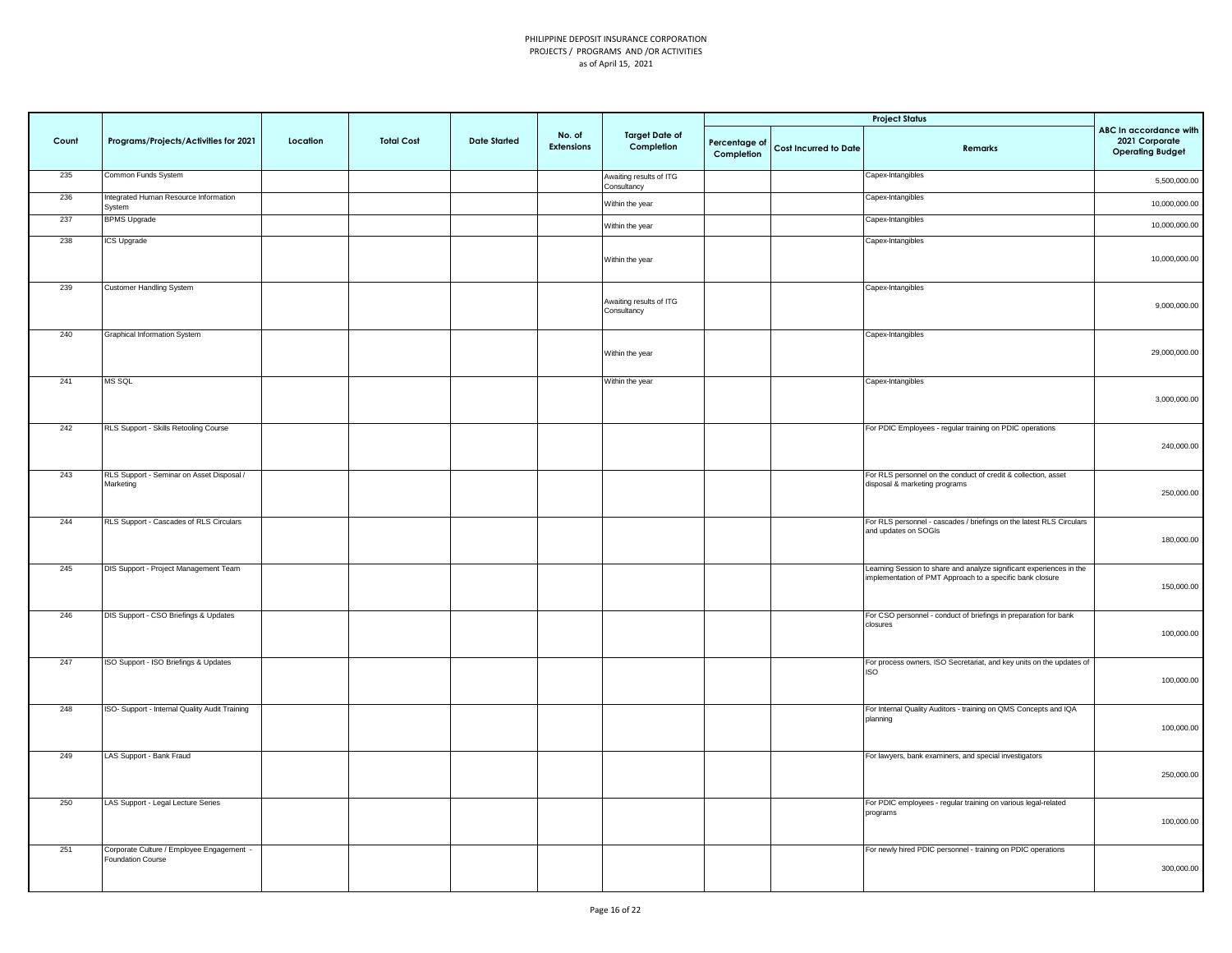|       |                                                                |          |                   |                     |                      |                                        |                             |                       | <b>Project Status</b>                                                                                                             |                                                                     |
|-------|----------------------------------------------------------------|----------|-------------------|---------------------|----------------------|----------------------------------------|-----------------------------|-----------------------|-----------------------------------------------------------------------------------------------------------------------------------|---------------------------------------------------------------------|
| Count | Programs/Projects/Activities for 2021                          | Location | <b>Total Cost</b> | <b>Date Started</b> | No. of<br>Extensions | <b>Target Date of</b><br>Completion    | Percentage of<br>Completion | Cost Incurred to Date | Remarks                                                                                                                           | ABC In accordance with<br>2021 Corporate<br><b>Operating Budget</b> |
| 235   | Common Funds System                                            |          |                   |                     |                      | Awaiting results of ITG<br>Consultancy |                             |                       | Capex-Intangibles                                                                                                                 | 5,500,000.00                                                        |
| 236   | Integrated Human Resource Information<br>System                |          |                   |                     |                      | Within the year                        |                             |                       | Capex-Intangibles                                                                                                                 | 10,000,000.00                                                       |
| 237   | <b>BPMS Upgrade</b>                                            |          |                   |                     |                      | Within the year                        |                             |                       | Capex-Intangibles                                                                                                                 | 10,000,000.00                                                       |
| 238   | ICS Upgrade                                                    |          |                   |                     |                      | Within the year                        |                             |                       | Capex-Intangibles                                                                                                                 | 10,000,000.00                                                       |
| 239   | <b>Customer Handling System</b>                                |          |                   |                     |                      | Awaiting results of ITG<br>Consultancy |                             |                       | Capex-Intangibles                                                                                                                 | 9,000,000.00                                                        |
| 240   | Graphical Information System                                   |          |                   |                     |                      | Within the year                        |                             |                       | Capex-Intangibles                                                                                                                 | 29,000,000.00                                                       |
| 241   | MS SQL                                                         |          |                   |                     |                      | Within the year                        |                             |                       | Capex-Intangibles                                                                                                                 | 3,000,000.00                                                        |
| 242   | RLS Support - Skills Retooling Course                          |          |                   |                     |                      |                                        |                             |                       | For PDIC Employees - regular training on PDIC operations                                                                          | 240,000.00                                                          |
| 243   | RLS Support - Seminar on Asset Disposal /<br>Marketing         |          |                   |                     |                      |                                        |                             |                       | For RLS personnel on the conduct of credit & collection, asset<br>disposal & marketing programs                                   | 250,000.00                                                          |
| 244   | RLS Support - Cascades of RLS Circulars                        |          |                   |                     |                      |                                        |                             |                       | For RLS personnel - cascades / briefings on the latest RLS Circulars<br>and updates on SOGIs                                      | 180,000.00                                                          |
| 245   | DIS Support - Project Management Team                          |          |                   |                     |                      |                                        |                             |                       | Learning Session to share and analyze significant experiences in the<br>implementation of PMT Approach to a specific bank closure | 150,000.00                                                          |
| 246   | DIS Support - CSO Briefings & Updates                          |          |                   |                     |                      |                                        |                             |                       | For CSO personnel - conduct of briefings in preparation for bank<br>closures                                                      | 100,000.00                                                          |
| 247   | ISO Support - ISO Briefings & Updates                          |          |                   |                     |                      |                                        |                             |                       | For process owners, ISO Secretariat, and key units on the updates of<br><b>ISO</b>                                                | 100,000.00                                                          |
| 248   | ISO- Support - Internal Quality Audit Training                 |          |                   |                     |                      |                                        |                             |                       | For Internal Quality Auditors - training on QMS Concepts and IQA<br>planning                                                      | 100,000.00                                                          |
| 249   | LAS Support - Bank Fraud                                       |          |                   |                     |                      |                                        |                             |                       | For lawyers, bank examiners, and special investigators                                                                            | 250,000.00                                                          |
| 250   | LAS Support - Legal Lecture Series                             |          |                   |                     |                      |                                        |                             |                       | For PDIC employees - regular training on various legal-related<br>programs                                                        | 100,000.00                                                          |
| 251   | Corporate Culture / Employee Engagement -<br>Foundation Course |          |                   |                     |                      |                                        |                             |                       | For newly hired PDIC personnel - training on PDIC operations                                                                      | 300,000.00                                                          |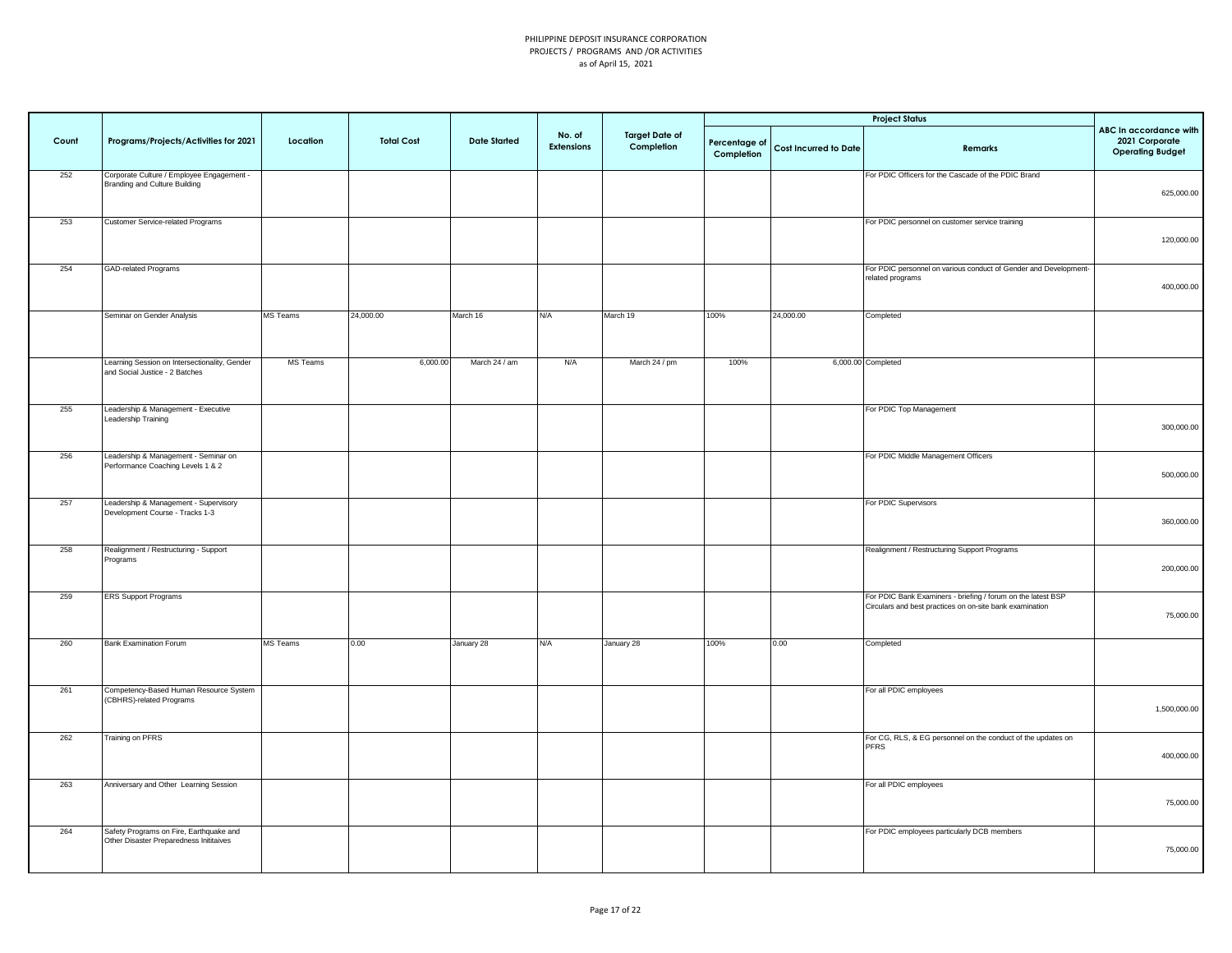|       |                                                                                    |                 |                   |                     |                             |                                     |                             |                       | <b>Project Status</b>                                                                                                    |                                                                     |
|-------|------------------------------------------------------------------------------------|-----------------|-------------------|---------------------|-----------------------------|-------------------------------------|-----------------------------|-----------------------|--------------------------------------------------------------------------------------------------------------------------|---------------------------------------------------------------------|
| Count | Programs/Projects/Activities for 2021                                              | Location        | <b>Total Cost</b> | <b>Date Started</b> | No. of<br><b>Extensions</b> | <b>Target Date of</b><br>Completion | Percentage of<br>Completion | Cost Incurred to Date | Remarks                                                                                                                  | ABC In accordance with<br>2021 Corporate<br><b>Operating Budget</b> |
| 252   | Corporate Culture / Employee Engagement -<br>Branding and Culture Building         |                 |                   |                     |                             |                                     |                             |                       | For PDIC Officers for the Cascade of the PDIC Brand                                                                      | 625,000.00                                                          |
| 253   | Customer Service-related Programs                                                  |                 |                   |                     |                             |                                     |                             |                       | For PDIC personnel on customer service training                                                                          | 120,000.00                                                          |
| 254   | <b>GAD-related Programs</b>                                                        |                 |                   |                     |                             |                                     |                             |                       | For PDIC personnel on various conduct of Gender and Development-<br>related programs                                     | 400,000.00                                                          |
|       | Seminar on Gender Analysis                                                         | <b>MS</b> Teams | 24,000.00         | March 16            | N/A                         | March 19                            | 100%                        | 24,000.00             | Completed                                                                                                                |                                                                     |
|       | Learning Session on Intersectionality, Gender<br>and Social Justice - 2 Batches    | MS Teams        | 6,000.00          | March 24 / am       | N/A                         | March 24 / pm                       | 100%                        |                       | 6,000.00 Completed                                                                                                       |                                                                     |
| 255   | Leadership & Management - Executive<br>Leadership Training                         |                 |                   |                     |                             |                                     |                             |                       | For PDIC Top Management                                                                                                  | 300,000.00                                                          |
| 256   | Leadership & Management - Seminar on<br>Performance Coaching Levels 1 & 2          |                 |                   |                     |                             |                                     |                             |                       | For PDIC Middle Management Officers                                                                                      | 500,000.00                                                          |
| 257   | Leadership & Management - Supervisory<br>Development Course - Tracks 1-3           |                 |                   |                     |                             |                                     |                             |                       | For PDIC Supervisors                                                                                                     | 360,000.00                                                          |
| 258   | Realignment / Restructuring - Support<br>Programs                                  |                 |                   |                     |                             |                                     |                             |                       | Realignment / Restructuring Support Programs                                                                             | 200,000.00                                                          |
| 259   | <b>ERS Support Programs</b>                                                        |                 |                   |                     |                             |                                     |                             |                       | For PDIC Bank Examiners - briefing / forum on the latest BSP<br>Circulars and best practices on on-site bank examination | 75,000.00                                                           |
| 260   | <b>Bank Examination Forum</b>                                                      | MS Teams        | 0.00              | January 28          | N/A                         | January 28                          | 100%                        | 0.00                  | Completed                                                                                                                |                                                                     |
| 261   | Competency-Based Human Resource System<br>(CBHRS)-related Programs                 |                 |                   |                     |                             |                                     |                             |                       | For all PDIC employees                                                                                                   | 1,500,000.00                                                        |
| 262   | <b>Training on PFRS</b>                                                            |                 |                   |                     |                             |                                     |                             |                       | For CG, RLS, & EG personnel on the conduct of the updates on<br><b>PFRS</b>                                              | 400,000.00                                                          |
| 263   | Anniversary and Other Learning Session                                             |                 |                   |                     |                             |                                     |                             |                       | For all PDIC employees                                                                                                   | 75,000.00                                                           |
| 264   | Safety Programs on Fire, Earthquake and<br>Other Disaster Preparedness Inititaives |                 |                   |                     |                             |                                     |                             |                       | For PDIC employees particularly DCB members                                                                              | 75,000.00                                                           |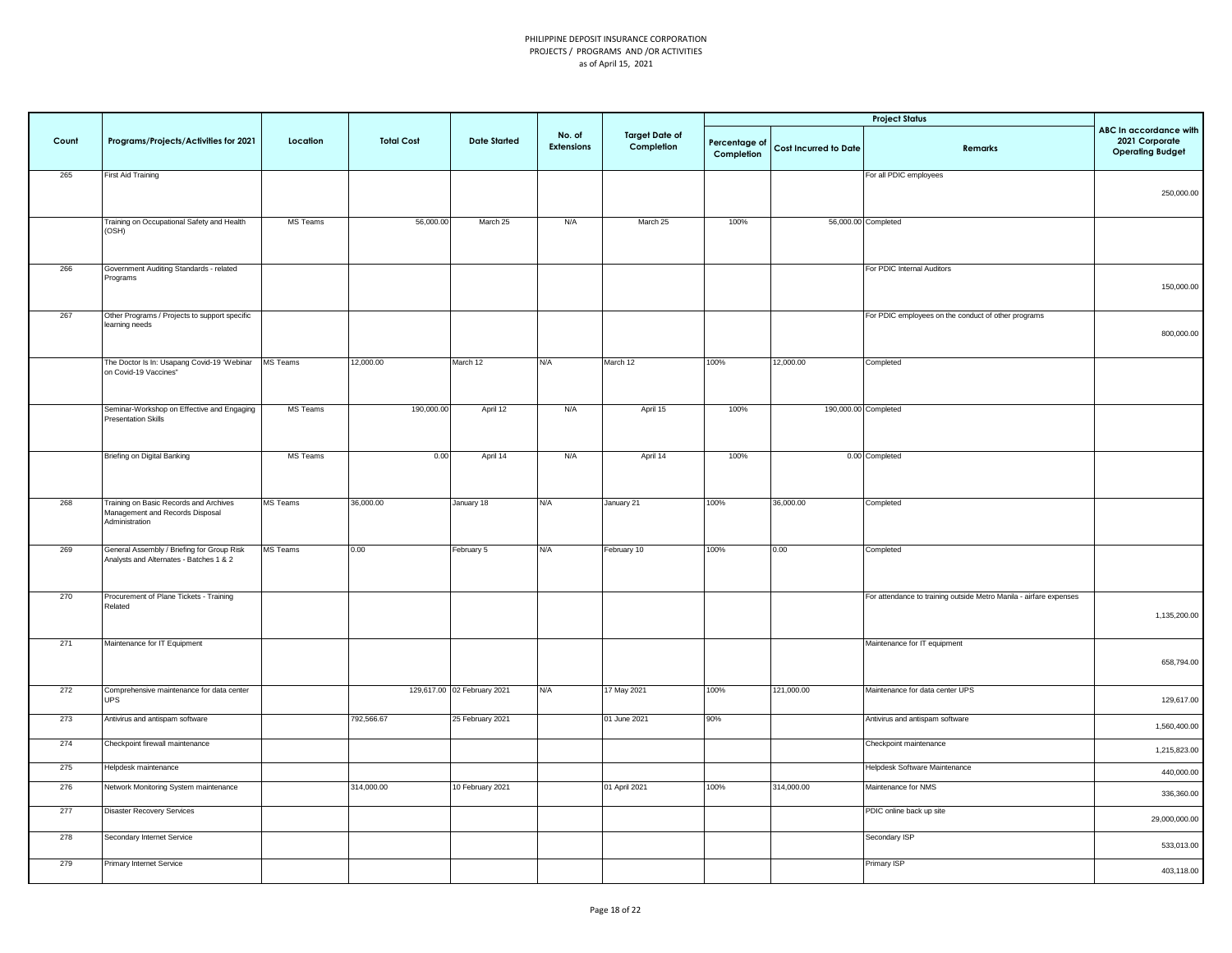|       |                                                                                             |                 |                   |                             |                             |                                     |                             |                       | <b>Project Status</b>                                              |                                                                     |
|-------|---------------------------------------------------------------------------------------------|-----------------|-------------------|-----------------------------|-----------------------------|-------------------------------------|-----------------------------|-----------------------|--------------------------------------------------------------------|---------------------------------------------------------------------|
| Count | Programs/Projects/Activities for 2021                                                       | Location        | <b>Total Cost</b> | <b>Date Started</b>         | No. of<br><b>Extensions</b> | <b>Target Date of</b><br>Completion | Percentage of<br>Completion | Cost Incurred to Date | Remarks                                                            | ABC In accordance with<br>2021 Corporate<br><b>Operating Budget</b> |
| 265   | <b>First Aid Training</b>                                                                   |                 |                   |                             |                             |                                     |                             |                       | For all PDIC employees                                             | 250,000.00                                                          |
|       | Training on Occupational Safety and Health<br>(OSH)                                         | MS Teams        | 56,000.00         | March 25                    | N/A                         | March 25                            | 100%                        |                       | 56,000.00 Completed                                                |                                                                     |
| 266   | Government Auditing Standards - related<br>Programs                                         |                 |                   |                             |                             |                                     |                             |                       | For PDIC Internal Auditors                                         | 150,000.00                                                          |
| 267   | Other Programs / Projects to support specific<br>learning needs                             |                 |                   |                             |                             |                                     |                             |                       | For PDIC employees on the conduct of other programs                | 800,000.00                                                          |
|       | The Doctor Is In: Usapang Covid-19 'Webinar<br>on Covid-19 Vaccines"                        | MS Teams        | 12,000.00         | March 12                    | N/A                         | March 12                            | 100%                        | 12,000.00             | Completed                                                          |                                                                     |
|       | Seminar-Workshop on Effective and Engaging<br><b>Presentation Skills</b>                    | MS Teams        | 190,000.00        | April 12                    | N/A                         | April 15                            | 100%                        |                       | 190,000.00 Completed                                               |                                                                     |
|       | Briefing on Digital Banking                                                                 | MS Teams        | 0.00              | April 14                    | N/A                         | April 14                            | 100%                        |                       | 0.00 Completed                                                     |                                                                     |
| 268   | Training on Basic Records and Archives<br>Management and Records Disposal<br>Administration | MS Teams        | 36,000.00         | January 18                  | N/A                         | January 21                          | 100%                        | 36,000.00             | Completed                                                          |                                                                     |
| 269   | General Assembly / Briefing for Group Risk<br>Analysts and Alternates - Batches 1 & 2       | <b>MS</b> Teams | 0.00              | February 5                  | N/A                         | February 10                         | 100%                        | 0.00                  | Completed                                                          |                                                                     |
| 270   | Procurement of Plane Tickets - Training<br>Related                                          |                 |                   |                             |                             |                                     |                             |                       | For attendance to training outside Metro Manila - airfare expenses | 1,135,200.00                                                        |
| 271   | Maintenance for IT Equipment                                                                |                 |                   |                             |                             |                                     |                             |                       | Maintenance for IT equipment                                       | 658,794.00                                                          |
| 272   | Comprehensive maintenance for data center<br>UPS <sup></sup>                                |                 |                   | 129,617.00 02 February 2021 | N/A                         | 17 May 2021                         | 100%                        | 121,000.00            | Maintenance for data center UPS                                    | 129,617.00                                                          |
| 273   | Antivirus and antispam software                                                             |                 | 792,566.67        | 25 February 2021            |                             | 01 June 2021                        | 90%                         |                       | Antivirus and antispam software                                    | 1,560,400.00                                                        |
| 274   | Checkpoint firewall maintenance                                                             |                 |                   |                             |                             |                                     |                             |                       | Checkpoint maintenance                                             | 1,215,823.00                                                        |
| 275   | Helpdesk maintenance                                                                        |                 |                   |                             |                             |                                     |                             |                       | Helpdesk Software Maintenance                                      | 440,000.00                                                          |
| 276   | Network Monitoring System maintenance                                                       |                 | 314,000.00        | 10 February 2021            |                             | 01 April 2021                       | 100%                        | 314,000.00            | Maintenance for NMS                                                | 336,360.00                                                          |
| 277   | <b>Disaster Recovery Services</b>                                                           |                 |                   |                             |                             |                                     |                             |                       | PDIC online back up site                                           | 29,000,000.00                                                       |
| 278   | Secondary Internet Service                                                                  |                 |                   |                             |                             |                                     |                             |                       | Secondary ISP                                                      | 533,013.00                                                          |
| 279   | Primary Internet Service                                                                    |                 |                   |                             |                             |                                     |                             |                       | <b>Primary ISP</b>                                                 | 403,118.00                                                          |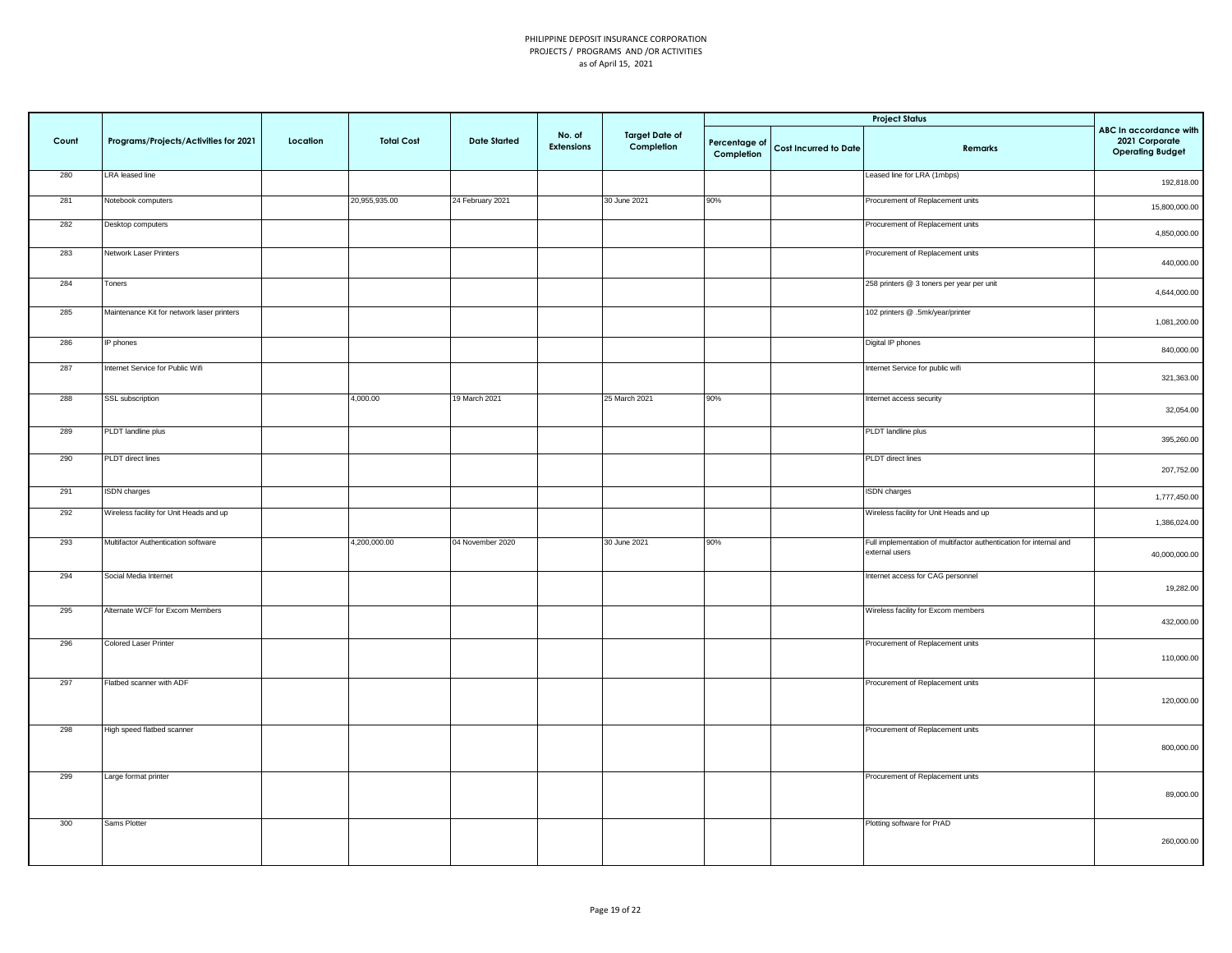|       |                                            |          |                   |                     |                      |                                     |                             |                       | <b>Project Status</b>                                                                |                                                                     |
|-------|--------------------------------------------|----------|-------------------|---------------------|----------------------|-------------------------------------|-----------------------------|-----------------------|--------------------------------------------------------------------------------------|---------------------------------------------------------------------|
| Count | Programs/Projects/Activities for 2021      | Location | <b>Total Cost</b> | <b>Date Started</b> | No. of<br>Extensions | <b>Target Date of</b><br>Completion | Percentage of<br>Completion | Cost Incurred to Date | Remarks                                                                              | ABC In accordance with<br>2021 Corporate<br><b>Operating Budget</b> |
| 280   | LRA leased line                            |          |                   |                     |                      |                                     |                             |                       | Leased line for LRA (1mbps)                                                          | 192,818.00                                                          |
| 281   | Notebook computers                         |          | 20,955,935.00     | 24 February 2021    |                      | 30 June 2021                        | 90%                         |                       | Procurement of Replacement units                                                     | 15,800,000.00                                                       |
| 282   | Desktop computers                          |          |                   |                     |                      |                                     |                             |                       | Procurement of Replacement units                                                     | 4,850,000.00                                                        |
| 283   | Network Laser Printers                     |          |                   |                     |                      |                                     |                             |                       | Procurement of Replacement units                                                     | 440,000.00                                                          |
| 284   | Toners                                     |          |                   |                     |                      |                                     |                             |                       | 258 printers @ 3 toners per year per unit                                            | 4,644,000.00                                                        |
| 285   | Maintenance Kit for network laser printers |          |                   |                     |                      |                                     |                             |                       | 102 printers @ .5mk/year/printer                                                     | 1,081,200.00                                                        |
| 286   | IP phones                                  |          |                   |                     |                      |                                     |                             |                       | Digital IP phones                                                                    | 840,000.00                                                          |
| 287   | Internet Service for Public Wifi           |          |                   |                     |                      |                                     |                             |                       | Internet Service for public wifi                                                     | 321,363.00                                                          |
| 288   | SSL subscription                           |          | 4,000.00          | 19 March 2021       |                      | 25 March 2021                       | 90%                         |                       | Internet access security                                                             | 32,054.00                                                           |
| 289   | PLDT landline plus                         |          |                   |                     |                      |                                     |                             |                       | PLDT landline plus                                                                   | 395,260.00                                                          |
| 290   | PLDT direct lines                          |          |                   |                     |                      |                                     |                             |                       | PLDT direct lines                                                                    | 207,752.00                                                          |
| 291   | <b>ISDN</b> charges                        |          |                   |                     |                      |                                     |                             |                       | <b>ISDN</b> charges                                                                  | 1,777,450.00                                                        |
| 292   | Wireless facility for Unit Heads and up    |          |                   |                     |                      |                                     |                             |                       | Wireless facility for Unit Heads and up                                              | 1,386,024.00                                                        |
| 293   | Multifactor Authentication software        |          | 4,200,000.00      | 04 November 2020    |                      | 30 June 2021                        | 90%                         |                       | Full implementation of multifactor authentication for internal and<br>external users | 40,000,000.00                                                       |
| 294   | Social Media Internet                      |          |                   |                     |                      |                                     |                             |                       | Internet access for CAG personnel                                                    | 19,282.00                                                           |
| 295   | Alternate WCF for Excom Members            |          |                   |                     |                      |                                     |                             |                       | Wireless facility for Excom members                                                  | 432,000.00                                                          |
| 296   | Colored Laser Printer                      |          |                   |                     |                      |                                     |                             |                       | Procurement of Replacement units                                                     | 110,000.00                                                          |
| 297   | Flatbed scanner with ADF                   |          |                   |                     |                      |                                     |                             |                       | Procurement of Replacement units                                                     | 120,000.00                                                          |
| 298   | High speed flatbed scanner                 |          |                   |                     |                      |                                     |                             |                       | Procurement of Replacement units                                                     | 800,000.00                                                          |
| 299   | Large format printer                       |          |                   |                     |                      |                                     |                             |                       | Procurement of Replacement units                                                     | 89,000.00                                                           |
| 300   | Sams Plotter                               |          |                   |                     |                      |                                     |                             |                       | Plotting software for PrAD                                                           | 260,000.00                                                          |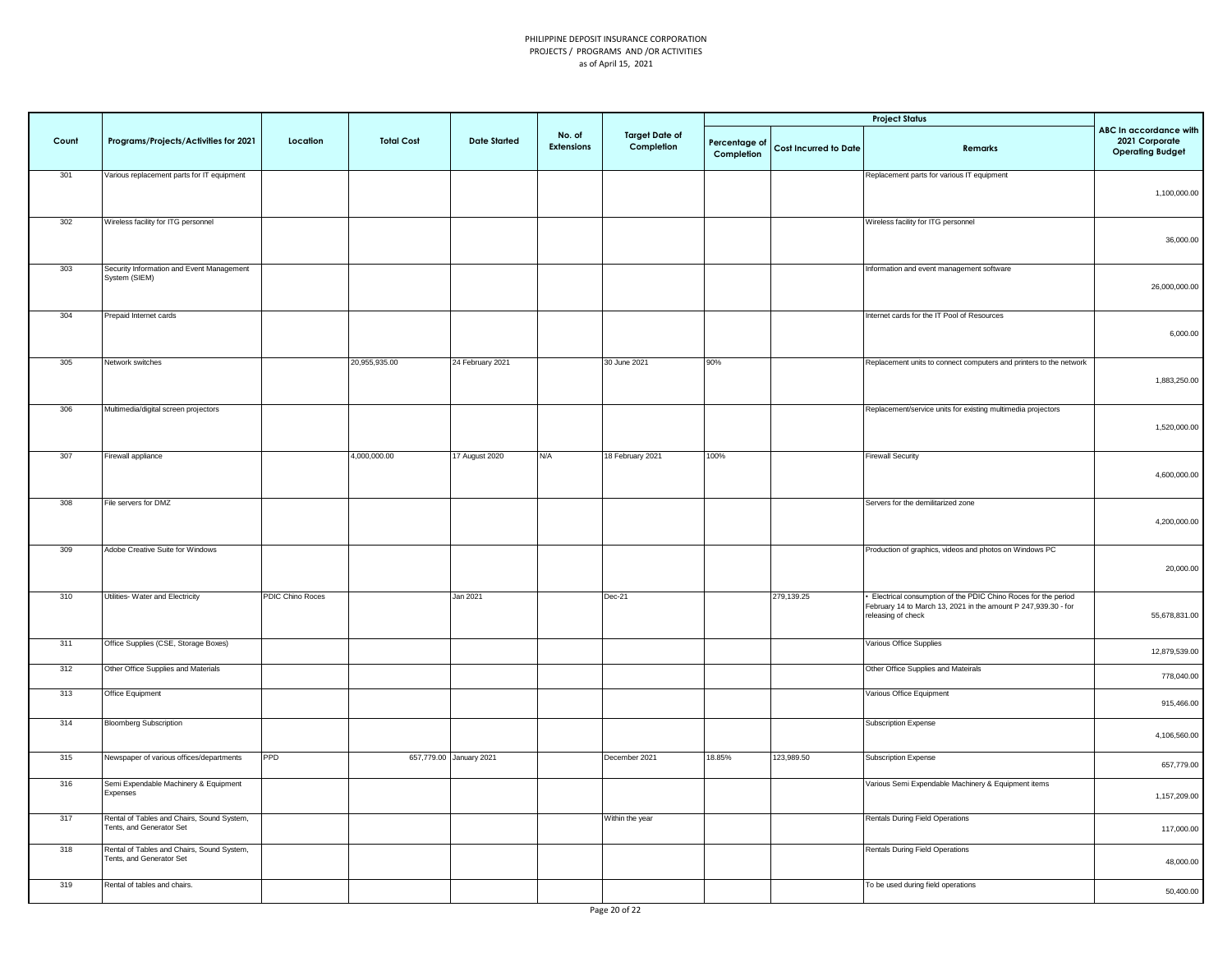|       |                                                                        |                  |                   |                         |                             |                                     |                             |                              | <b>Project Status</b>                                                                                                                                 |                                                                     |
|-------|------------------------------------------------------------------------|------------------|-------------------|-------------------------|-----------------------------|-------------------------------------|-----------------------------|------------------------------|-------------------------------------------------------------------------------------------------------------------------------------------------------|---------------------------------------------------------------------|
| Count | Programs/Projects/Activities for 2021                                  | Location         | <b>Total Cost</b> | <b>Date Started</b>     | No. of<br><b>Extensions</b> | <b>Target Date of</b><br>Completion | Percentage of<br>Completion | <b>Cost Incurred to Date</b> | Remarks                                                                                                                                               | ABC In accordance with<br>2021 Corporate<br><b>Operating Budget</b> |
| 301   | Various replacement parts for IT equipment                             |                  |                   |                         |                             |                                     |                             |                              | Replacement parts for various IT equipment                                                                                                            | 1,100,000.00                                                        |
| 302   | Wireless facility for ITG personnel                                    |                  |                   |                         |                             |                                     |                             |                              | Wireless facility for ITG personnel                                                                                                                   | 36,000.00                                                           |
| 303   | Security Information and Event Management<br>System (SIEM)             |                  |                   |                         |                             |                                     |                             |                              | Information and event management software                                                                                                             | 26,000,000.00                                                       |
| 304   | Prepaid Internet cards                                                 |                  |                   |                         |                             |                                     |                             |                              | Internet cards for the IT Pool of Resources                                                                                                           | 6,000.00                                                            |
| 305   | Network switches                                                       |                  | 20,955,935.00     | 24 February 2021        |                             | 30 June 2021                        | 90%                         |                              | Replacement units to connect computers and printers to the network                                                                                    | 1,883,250.00                                                        |
| 306   | Multimedia/digital screen projectors                                   |                  |                   |                         |                             |                                     |                             |                              | Replacement/service units for existing multimedia projectors                                                                                          | 1,520,000.00                                                        |
| 307   | Firewall appliance                                                     |                  | 4,000,000.00      | 17 August 2020          | N/A                         | 18 February 2021                    | 100%                        |                              | <b>Firewall Security</b>                                                                                                                              | 4,600,000.00                                                        |
| 308   | File servers for DMZ                                                   |                  |                   |                         |                             |                                     |                             |                              | Servers for the demilitarized zone                                                                                                                    | 4,200,000.00                                                        |
| 309   | Adobe Creative Suite for Windows                                       |                  |                   |                         |                             |                                     |                             |                              | Production of graphics, videos and photos on Windows PC                                                                                               | 20,000.00                                                           |
| 310   | Utilities- Water and Electricity                                       | PDIC Chino Roces |                   | Jan 2021                |                             | Dec-21                              |                             | 279,139.25                   | Electrical consumption of the PDIC Chino Roces for the period<br>February 14 to March 13, 2021 in the amount P 247,939.30 - for<br>releasing of check | 55,678,831.00                                                       |
| 311   | Office Supplies (CSE, Storage Boxes)                                   |                  |                   |                         |                             |                                     |                             |                              | Various Office Supplies                                                                                                                               | 12,879,539.00                                                       |
| 312   | Other Office Supplies and Materials                                    |                  |                   |                         |                             |                                     |                             |                              | Other Office Supplies and Mateirals                                                                                                                   | 778,040.00                                                          |
| 313   | Office Equipment                                                       |                  |                   |                         |                             |                                     |                             |                              | Various Office Equipment                                                                                                                              | 915,466.00                                                          |
| 314   | <b>Bloomberg Subscription</b>                                          |                  |                   |                         |                             |                                     |                             |                              | Subscription Expense                                                                                                                                  | 4,106,560.00                                                        |
| 315   | Newspaper of various offices/departments                               | <b>PPD</b>       |                   | 657,779.00 January 2021 |                             | December 2021                       | 18.85%                      | 123,989.50                   | Subscription Expense                                                                                                                                  | 657,779.00                                                          |
| 316   | Semi Expendable Machinery & Equipment<br>Expenses                      |                  |                   |                         |                             |                                     |                             |                              | Various Semi Expendable Machinery & Equipment items                                                                                                   | 1,157,209.00                                                        |
| 317   | Rental of Tables and Chairs, Sound System,<br>Tents, and Generator Set |                  |                   |                         |                             | Within the year                     |                             |                              | <b>Rentals During Field Operations</b>                                                                                                                | 117,000.00                                                          |
| 318   | Rental of Tables and Chairs, Sound System,<br>Tents, and Generator Set |                  |                   |                         |                             |                                     |                             |                              | Rentals During Field Operations                                                                                                                       | 48,000.00                                                           |
| 319   | Rental of tables and chairs.                                           |                  |                   |                         |                             |                                     |                             |                              | To be used during field operations                                                                                                                    | 50,400.00                                                           |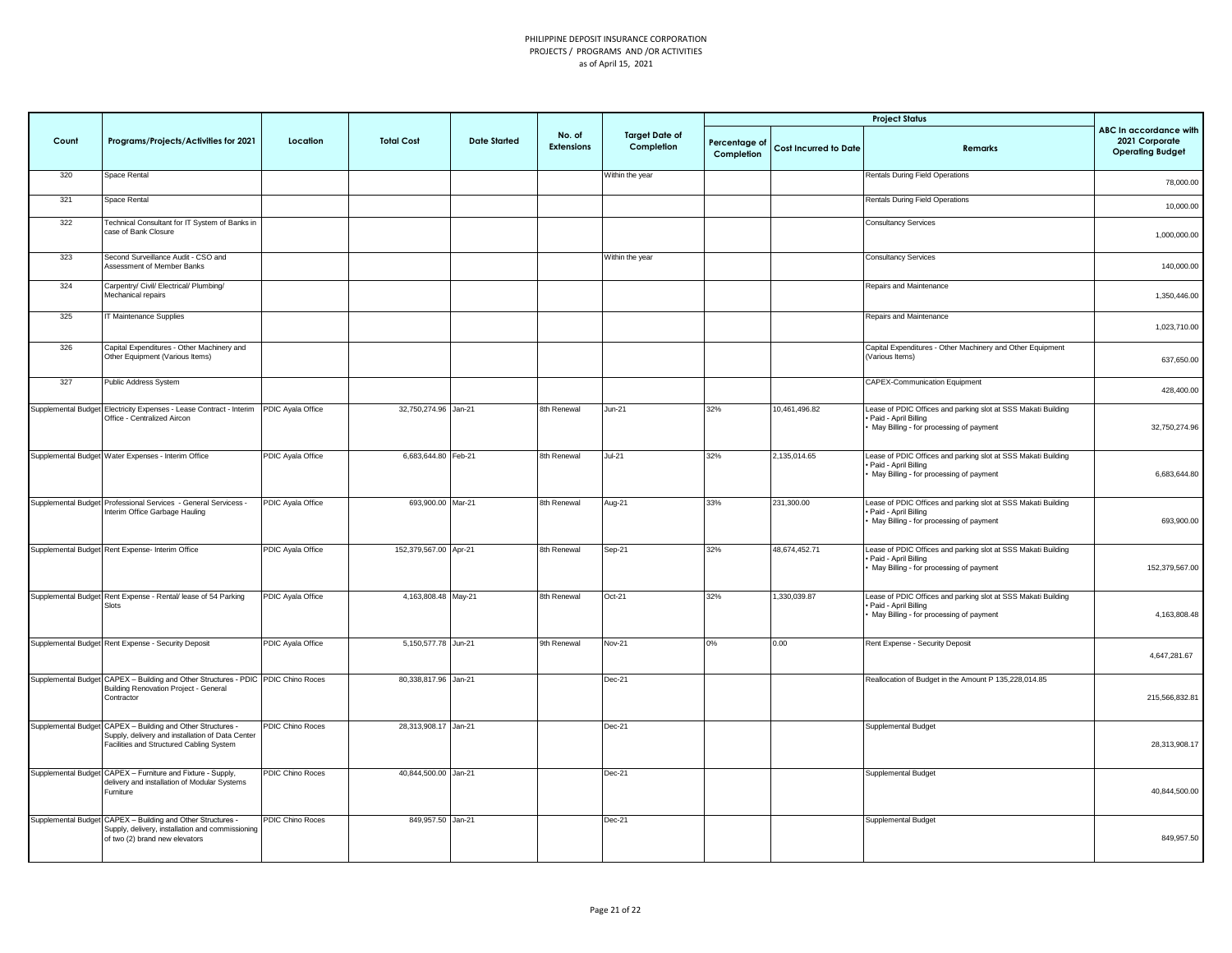|       |                                                                                                                                                             |                         |                       |                     |                             |                                     |                             |                              | <b>Project Status</b>                                                                                                            |                                                                            |
|-------|-------------------------------------------------------------------------------------------------------------------------------------------------------------|-------------------------|-----------------------|---------------------|-----------------------------|-------------------------------------|-----------------------------|------------------------------|----------------------------------------------------------------------------------------------------------------------------------|----------------------------------------------------------------------------|
| Count | Programs/Projects/Activities for 2021                                                                                                                       | Location                | <b>Total Cost</b>     | <b>Date Started</b> | No. of<br><b>Extensions</b> | <b>Target Date of</b><br>Completion | Percentage of<br>Completion | <b>Cost Incurred to Date</b> | Remarks                                                                                                                          | <b>ABC In accordance with</b><br>2021 Corporate<br><b>Operating Budget</b> |
| 320   | Space Rental                                                                                                                                                |                         |                       |                     |                             | Within the year                     |                             |                              | Rentals During Field Operations                                                                                                  | 78,000.00                                                                  |
| 321   | Space Rental                                                                                                                                                |                         |                       |                     |                             |                                     |                             |                              | Rentals During Field Operations                                                                                                  | 10,000.00                                                                  |
| 322   | Technical Consultant for IT System of Banks in<br>case of Bank Closure                                                                                      |                         |                       |                     |                             |                                     |                             |                              | <b>Consultancy Services</b>                                                                                                      | 1,000,000.00                                                               |
| 323   | Second Surveillance Audit - CSO and<br>Assessment of Member Banks                                                                                           |                         |                       |                     |                             | Within the year                     |                             |                              | <b>Consultancy Services</b>                                                                                                      | 140,000.00                                                                 |
| 324   | Carpentry/ Civil/ Electrical/ Plumbing/<br>Mechanical repairs                                                                                               |                         |                       |                     |                             |                                     |                             |                              | Repairs and Maintenance                                                                                                          | 1,350,446.00                                                               |
| 325   | <b>IT Maintenance Supplies</b>                                                                                                                              |                         |                       |                     |                             |                                     |                             |                              | Repairs and Maintenance                                                                                                          | 1,023,710.00                                                               |
| 326   | Capital Expenditures - Other Machinery and<br>Other Equipment (Various Items)                                                                               |                         |                       |                     |                             |                                     |                             |                              | Capital Expenditures - Other Machinery and Other Equipment<br>(Various Items)                                                    | 637,650.00                                                                 |
| 327   | Public Address System                                                                                                                                       |                         |                       |                     |                             |                                     |                             |                              | CAPEX-Communication Equipment                                                                                                    | 428,400.00                                                                 |
|       | Supplemental Budget Electricity Expenses - Lease Contract - Interim PDIC Ayala Office<br>Office - Centralized Aircon                                        |                         | 32,750,274.96 Jan-21  |                     | 8th Renewal                 | Jun-21                              | 32%                         | 10.461.496.82                | Lease of PDIC Offices and parking slot at SSS Makati Building<br>Paid - April Billing<br>May Billing - for processing of payment | 32,750,274.96                                                              |
|       | Supplemental Budget Water Expenses - Interim Office                                                                                                         | PDIC Ayala Office       | 6,683,644.80 Feb-21   |                     | 8th Renewal                 | $Jul-21$                            | 32%                         | 2,135,014.65                 | ease of PDIC Offices and parking slot at SSS Makati Building<br>Paid - April Billing<br>May Billing - for processing of payment  | 6.683.644.80                                                               |
|       | Supplemental Budget Professional Services - General Servicess -<br>Interim Office Garbage Hauling                                                           | PDIC Ayala Office       | 693,900.00 Mar-21     |                     | 8th Renewal                 | Aug-21                              | 33%                         | 231,300.00                   | Lease of PDIC Offices and parking slot at SSS Makati Building<br>Paid - April Billing<br>May Billing - for processing of payment | 693,900.00                                                                 |
|       | Supplemental Budget Rent Expense- Interim Office                                                                                                            | PDIC Ayala Office       | 152,379,567.00 Apr-21 |                     | 8th Renewal                 | Sep-21                              | 32%                         | 48,674,452.71                | Lease of PDIC Offices and parking slot at SSS Makati Building<br>Paid - April Billing<br>May Billing - for processing of payment | 152,379,567.00                                                             |
|       | Supplemental Budget Rent Expense - Rental/ lease of 54 Parking<br>Slots                                                                                     | PDIC Ayala Office       | 4,163,808.48 May-21   |                     | 8th Renewal                 | $Oct-21$                            | 32%                         | 1.330.039.87                 | Lease of PDIC Offices and parking slot at SSS Makati Building<br>Paid - April Billing<br>May Billing - for processing of payment | 4,163,808.48                                                               |
|       | Supplemental Budget Rent Expense - Security Deposit                                                                                                         | PDIC Ayala Office       | 5,150,577.78 Jun-21   |                     | 9th Renewal                 | <b>Nov-21</b>                       | 0%                          | 0.00                         | Rent Expense - Security Deposit                                                                                                  | 4,647,281.67                                                               |
|       | Supplemental Budget CAPEX - Building and Other Structures - PDIC PDIC Chino Roces<br>Building Renovation Project - General<br>Contractor                    |                         | 80,338,817.96 Jan-21  |                     |                             | Dec-21                              |                             |                              | Reallocation of Budget in the Amount P 135,228,014.85                                                                            | 215.566.832.81                                                             |
|       | Supplemental Budget CAPEX - Building and Other Structures -<br>Supply, delivery and installation of Data Center<br>Facilities and Structured Cabling System | <b>PDIC Chino Roces</b> | 28,313,908.17 Jan-21  |                     |                             | Dec-21                              |                             |                              | Supplemental Budget                                                                                                              | 28,313,908.17                                                              |
|       | Supplemental Budget CAPEX - Furniture and Fixture - Supply,<br>delivery and installation of Modular Systems<br>Furniture                                    | PDIC Chino Roces        | 40,844,500.00 Jan-21  |                     |                             | Dec-21                              |                             |                              | Supplemental Budget                                                                                                              | 40,844,500.00                                                              |
|       | Supplemental Budget CAPEX - Building and Other Structures -<br>Supply, delivery, installation and commissioning<br>of two (2) brand new elevators           | <b>PDIC Chino Roces</b> | 849,957.50 Jan-21     |                     |                             | Dec-21                              |                             |                              | Supplemental Budget                                                                                                              | 849,957.50                                                                 |